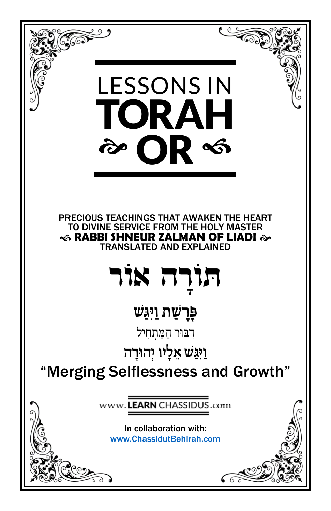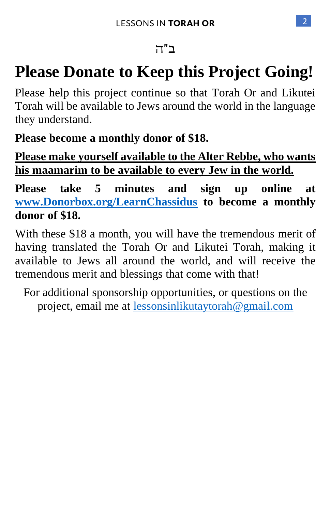# ב"ה

# **Please Donate to Keep this Project Going!**

Please help this project continue so that Torah Or and Likutei Torah will be available to Jews around the world in the language they understand.

# **Please become a monthly donor of \$18.**

**Please make yourself available to the Alter Rebbe, who wants his maamarim to be available to every Jew in the world.** 

**Please take 5 minutes and sign up online at [www.Donorbox.org/LearnChassidus](http://www.donorbox.org/LearnChassidus) to become a monthly donor of \$18.** 

With these \$18 a month, you will have the tremendous merit of having translated the Torah Or and Likutei Torah, making it available to Jews all around the world, and will receive the tremendous merit and blessings that come with that!

For additional sponsorship opportunities, or questions on the project, email me at [lessonsinlikutaytorah@gmail.com](mailto:lessonsinlikutaytorah@gmail.com)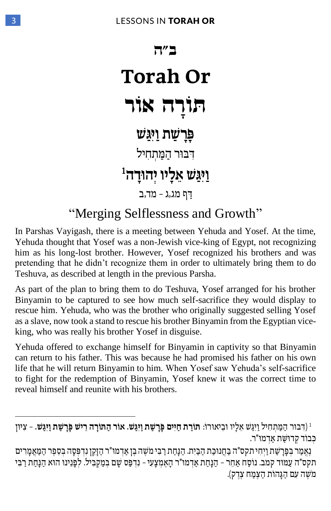# **ב"ה Torah Or רה אֹור ּתֹו ָ** פְּרָשַׁת <u>וַיְּגַ</u>ּשׁ דִּּ בּ וּר הַ מַּ תְ חִּ יל וֵיְּגֵּשׁ אֵלָיו יִהוּדַה<sup>וּ</sup> דִּף מג,ג – מד,ב "Merging Selflessness and Growth"

In Parshas Vayigash, there is a meeting between Yehuda and Yosef. At the time, Yehuda thought that Yosef was a non-Jewish vice-king of Egypt, not recognizing him as his long-lost brother. However, Yosef recognized his brothers and was pretending that he didn't recognize them in order to ultimately bring them to do Teshuva, as described at length in the previous Parsha.

As part of the plan to bring them to do Teshuva, Yosef arranged for his brother Binyamin to be captured to see how much self-sacrifice they would display to rescue him. Yehuda, who was the brother who originally suggested selling Yosef as a slave, now took a stand to rescue his brother Binyamin from the Egyptian viceking, who was really his brother Yosef in disguise.

Yehuda offered to exchange himself for Binyamin in captivity so that Binyamin can return to his father. This was because he had promised his father on his own life that he will return Binyamin to him. When Yosef saw Yehuda's self-sacrifice to fight for the redemption of Binyamin, Yosef knew it was the correct time to reveal himself and reunite with his brothers.

ן וְיָּגַשׁ, - אָיּון יִ**ּגַשׁ, - יִי**ּוֹן (דְּבוּר הַמַּתְחִיל וַיְּגַשׁ, - צִיּוּן (דְּבוּר הַמַּת וַיִּגָּשׁ - צִיּוּן " כְּבוֹד קְדוּשַׁת אַדְמוּ"ר.

נֶאֱמַר בִּפָּרֶשַׁת וַיִּחִי תקס"ה בַּחֲנוּכַּת הַבֵּיִת. הַנָּחַת רַבִּי משֶׁה בֶּן אַדְמוּ"ר הַזָּקֵן נִדְפִּסָה בִּסֵפֶר הַמַּאֲמָרִים תקס"ה עַמּוּד קמב. נוֹסַח אַחֵר – הַנַּחַת אַדְמוּ"ר הַאַמִצְעִי – נַדְפָּס שַׁם בְּמֵקְבִּיל. לִפְנֵינוּ הוּא הַנַּחַת רַבִּי מֹשֶׁה עִם הַגָּהוֹת הַצֵּמַח צֶדֶק).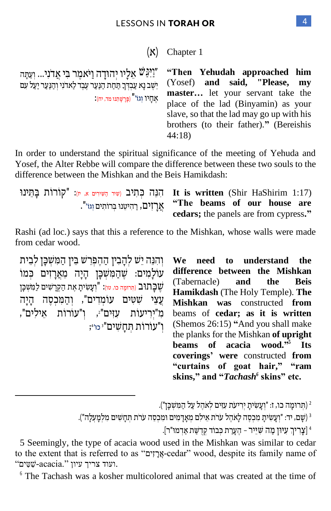$(N)$  Chapter 1

נִי... וְעַתֵּה "וַיִּגְ<sup>ּיָ</sup> שֵׁ אַלַיו יְהוּדָה וַיֹּאמר בִּי אַדני... וְעַתֵּה יֵשב נַא עַבִדְּךָ תַּחַת הַנַּעַר עֵבֶד לַאדנִי וְהַנַּעַר יַעַל עִם אֶחֲיוֹ וְגוֹ<sup>,</sup>" (פַּרַשַׁתָנוּ מד, יח)**:** 

**"Then Yehudah approached him** (Yosef) **and said, "Please, my master…** let your servant take the place of the lad (Binyamin) as your slave, so that the lad may go up with his brothers (to their father).**"** (Bereishis 44:18)

In order to understand the spiritual significance of the meeting of Yehuda and Yosef, the Alter Rebbe will compare the difference between these two souls to the difference between the Mishkan and the Beis Hamikdash:

הִנֶּה כְּתִיב (שֵׁיר הַשִּׁירִים א, יּ): "קוֹרוֹת בַּתֵּינוּ אֲ רָ זִּ ים , רַ הִּ יטֵ נוּ בְּ רו תִּ ים וְ גוֹ '". **It is written** (Shir HaShirim 1:17) **"The beams of our house are cedars;** the panels are from cypress**."**

Rashi (ad loc.) says that this a reference to the Mishkan, whose walls were made from cedar wood.

וְ הִנֵּה יֵש לְהָבְין הַהֶפְרֵשׁ בֵּין הַמִּשְׁכַּן לִבֵית We עולַמִים: שֶׁהַמִּשְׁכֵּן הַיַּה מֵאֲרַזִים כִּמוֹ שֶׁ כָּ תוּב (תִּרוּמָה כו, טו): "וְעָשִׂיתָ אֶת הַקְּרָשִׁים לַמְּשָׁכֵּן עֵצֵי שִׁטִּים עוֹמדים", והמכסה היה ּמִ"יִרְיעוֹת עִזִּים"<sup>,</sup> וִ"עוֹרוֹת אֵילִים", ו"עורות תִּחָשִׁים"<sup>3</sup> כו<sup>2</sup>;

need to understand the **difference between the Mishkan** (Tabernacle) **and the Beis Hamikdash** (The Holy Temple). **The Mishkan was** constructed **from** beams of **cedar; as it is written**  (Shemos 26:15) **"**And you shall make the planks for the Mishkan **of upright beams of acacia wood." 5 Its coverings' were** constructed **from "curtains of goat hair," "ram skins," and "***Tachash<sup>6</sup>* **skins" etc.**

<sup>2</sup> (תִּרוּמָה כו, ז: "וְעָשִׂיתָ יִרִיעֹת עִזִּים לְאֹהֱל עַל הַמִּשְׁכָּן").

ْ $\zeta$ שם, יד: "וְעָשִׂיתָ מִכְסֶה לָאהֵל עֹרֹת אֵילִם מְאָדָּמִים וּמִכְסֶה עֹרֹת תְּחָשִׁים מִלְמָעִלָה").

ן עֲרִיךְ עִיּוּן מַה שְׁיֵּיר - הֵעָרַת כִּבוֹד קִדְשַׁת אַדְמוּ"ר].

5 Seemingly, the type of acacia wood used in the Mishkan was similar to cedar to the extent that is referred to as "יםִז ָרֲא-cedar" wood, despite its family name of "ועוד צריך עיון ".acacia-שִׁטִּים.

<sup>6</sup> The Tachash was a kosher multicolored animal that was created at the time of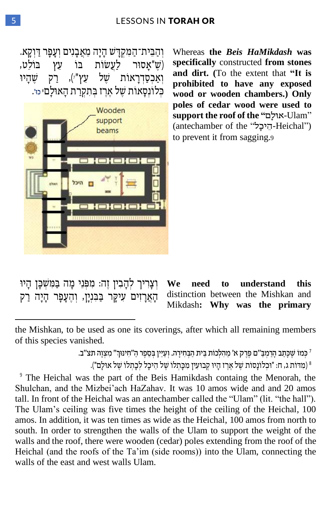וְ הַ בֵּ ית־ הַ מִּּ קְ דָּ ש הָ יָה מֵ אֲ בָ נִּים וְ עָ פָר דַּ וְ קָ א . (ש"אסוּר לעַשׂוֹת בּוֹ עַץ בּוֹלט, רַק שֶׁהָיוּ $\zeta^{\prime}$ ואכסדראות *של* כִּלוֹנִסָאוֹת שֵׁל אֵרֵז בְּתִקְרַת הָאוּלָם ּכּוּ׳.



Whereas **the** *Beis HaMikdash* **was specifically** constructed **from stones and dirt. (**To the extent that **"It is prohibited to have any exposed wood or wooden chambers.) Only poles of cedar wood were used to support the roof of the "**םָלּאו-Ulam" (antechamber of the "לָיכ ֵה-Heichal") to prevent it from sagging.9

וְ צָרִיר לְהָבְין זֶה: מִפְּנֵי מַה בַּמִּשְׁכֵּן הַיוּ We ָהֲאָר ִּזים ִּעי ָּקר ַּב ִּּב ְנָין, וְ הֶ עָ פָר הָ יָה רַ ק

need to understand this distinction between the Mishkan and Mikdash**: Why was the primary** 

ְו ַע ּי " ְּכמֹו ֶׁש ָּּכַתב ָּהַר ְמַּב''ם ֶּׁפֶׁרק א' ֵמ ִה ְלכֹות ֵּבית ַה ְּב ִחיָּרה. ֵין ְּבֵסֶׁפר ַה <sup>7</sup> ִחי ּנּוך" ִמ ְצָּוה תצ''ב. ׅ֧֧֓<u>֚</u>

 $\,$ (מִדּוֹת ג, ח: "וּכְלוֹנָסוֹת שֵׁל אֵרֵז הָיוּ קְבוּעִין מִכָּתְלוֹ שֵׁל הֵיכָל לְכָתְלוֹ שֵל אוּלָם").  $\,$ 

<sup>9</sup> The Heichal was the part of the Beis Hamikdash containg the Menorah, the Shulchan, and the Mizbei'ach HaZahav. It was 10 amos wide and and 20 amos tall. In front of the Heichal was an antechamber called the "Ulam" (lit. "the hall"). The Ulam's ceiling was five times the height of the ceiling of the Heichal, 100 amos. In addition, it was ten times as wide as the Heichal, 100 amos from north to south. In order to strengthen the walls of the Ulam to support the weight of the walls and the roof, there were wooden (cedar) poles extending from the roof of the Heichal (and the roofs of the Ta'im (side rooms)) into the Ulam, connecting the walls of the east and west walls I Ilam.

the Mishkan, to be used as one its coverings, after which all remaining members of this species vanished.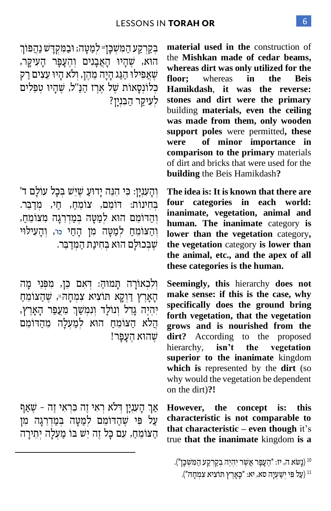**material used in the** construction of the **Mishkan made of cedar beams, whereas dirt was only utilized for the floor;** whereas **in the Beis Hamikdash**, **it was the reverse: stones and dirt were the primary**  building **materials, even the ceiling was made from them, only wooden support poles** were permitted**, these were of minor importance in comparison to the primary** materials of dirt and bricks that were used for the **building** the Beis Hamikdash**?**

**The idea is: It is known that there are four categories in each world: inanimate, vegetation, animal and human. The inanimate** category **is lower than the vegetation** category**, the vegetation** category **is lower than the animal, etc., and the apex of all these categories is the human.**

**Seemingly, this** hierarchy **does not make sense: if this is the case, why specifically does the ground bring forth vegetation, that the vegetation grows and is nourished from the dirt?** According to the proposed hierarchy, **isn't the vegetation superior to the inanimate** kingdom **which is** represented by the **dirt** (so why would the vegetation be dependent on the dirt)**?!** 

**However, the concept is: this characteristic is not comparable to that characteristic – even though** it's true **that the inanimate** kingdom **is a** 

ּבְקַרְקַע הַמִּשְׁכָןּ״ לִמַטָּה; וּבַמִּקְדָּשׁ נַהַפוֹךְ הוּא, שַׁהַיוּ הַאַבְנים והעַפר הַעיקֵר, שְׁאֲפִילוּ הַגַּג הָיָה מֵהֶן, וְלֹא הָיוּ עֵצִים רַק wiere כְּלוֹנְסָאוֹת שֶׁל אֶרֶז הַנַּ''ל, שֶׁהַיוּ טְפֵלִים לעיקר הבנין?

וְהַעָנְיַן: כִּי הִנֶּה יַדוּעַ שֶׁיֵּשׁ בְּבָל עוֹלַם ד' בִּחִינוֹת: דִּוֹמֵם, צוֹמַח, חִי, מִדבֵּר. וְהַדוֹמֵם הוֹא לִמְטָה בְמַדְרֶגָה מִצוֹמֵחַ, וְהַצוֹמֶחַ לְמַטָּה מִן הַחָי כוּ׳, וְהַעִילוּי ש ֶ בְּ כוּלּ ָם הוּא בְּ חִּ ינַת הַ מְ דַ בֵּ ר.

וְלִכְאוֹרָה תָּמוּהַּ: דְּאִם כֵּן, מִפְּנֵי מָה הָאָרֶץ דַּוְקָא תּוֹצִיא צִמְחָהִּי, שֶׁהַצוֹמֵחַ ְׂיִהְיָה גָדֵל וְנוֹלָד וְנִמְשַׁךְ מֵעֲפַר הָאָרֵץ, ְהַלֹא הַצוֹמֶחַ הוֹא לִמַעְלַה מֶהַדוֹמֵם ַ שֲהוּא הַעַפַר!

אַךְ הָעָנָיָן דִּלֹא רְאִי זֵה כִּרְאִי זֵה - שֵׁאַף עַל פִּי שֵׁהַדּוֹמֵם לִמַּטָּה בִּמַדְרֵגָה מִן הַצוֹמֶחַ, עָם כַּל זֶה יֵשׁ בּוֹ מַעָלַה יִתֵירַה

<sup>&</sup>lt;sup>10</sup> (נָשׂא ה, יז: "הֵעָפָר אֲשֵׁר יִהְיֵה בְּקַרְקַע הַמִּשְׁכָּן").

<sup>&</sup>lt;sup>11</sup> (עַל פִּי יִשַׁ עִיָה סא, יא: "כָּאָרֵץ תּוֹצִיא צִמְחָה").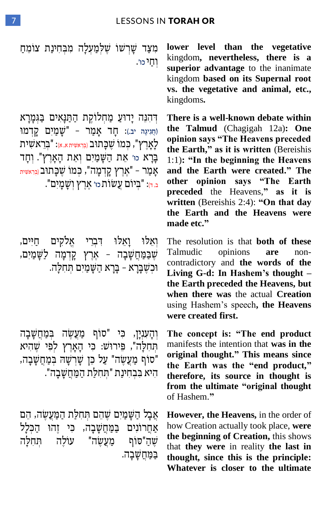מצַד שַׁרשׁוֹ שלמַעלה מבחינַת צומח וְ חַ יכוּ' .

דְּהִנֶּה יַדוּעַ מַחְלוֹקֵת הַתַּנַאִים בַּגְמַרַא (חֲגִיגָה יב.): חָד אָמַר – "שָׁמַיִּם קָדְמוּ לְאָרִץ", כַּמוֹ שַׁכַּתוּב (בְּרֵאשֶׁית א, א): "בִּרְאשִׁית בְּרָא כוּ' אֶת הַשָּׁמַיִם וְאֶת הַאֲרֶץ". וְחֲד אָמָר - "אָרֶץ קַדְמָה", כְּמוֹ שֶׁכָּתוּב <sub>(בְּרֵאשִׁית</sub> ב, ד): "בְּיוֹם עֲשׂוֹת כוּ׳ אֶרֶץ וְשַׁמַיִם".

וְאֵלוּ וַאֲלוּ דְּבְרֵי אֱלֹקִים חַיִּים, שְׁבַּמַּחֲשָׁבָה - אֶרֶץ קַדְמָה לַשַּׁמַיִם, וּכְ ש ֶ בָּרָ א – בָּרָ א הַ ש ּ ָ מַ יִּם תְּ חִּ לּ ָה.

וְהָעִנְיָן, כִּי "סוֹף מַעֲשֶׂה בִּמַּחֲשָָבָה תְּ חִּ לּ ָה ", פּ ֵ ירוּש : כִּּ י הָ אָ רֶ ץ לְפִּ י ש ֶ הִּ יא "סוף מַעֲשֶה" עַל כֵּן שָׁרְשָׁה בְּמַחֲשָׁבָה, הִּ יא בִּּ בְ חִּ ינַת " תְּ חִּ לּ ַת הַ מַּ חֲ ש ָ בָ ה ".

אֲבָל הַשַּׁמַיִם שֶׁהֶם תִּחִלַּת הַמַּעֲשֶׂה, הֵם אַחֲרוֹנִים בַּמַּחֲשָׁבָה, כִּי זֶהוּ הַכִּלָל שֶׁהַ"סוֹף מַעֲשֶׂה" עולֶה תִּחִלַּה בַּ מַּ חֲ ש ָ בָ ה. **lower level than the vegetative**  kingdom**, nevertheless, there is a superior advantage** to the inanimate kingdom **based on its Supernal root vs. the vegetative and animal, etc.,** kingdoms**.**

**There is a well-known debate within the Talmud** (Chagigah 12a)**: One opinion says "The Heavens preceded the Earth," as it is written** (Bereishis 1:1)**: "In the beginning the Heavens and the Earth were created." The other opinion says "The Earth preceded** the Heavens,**" as it is written** (Bereishis 2:4): **"On that day the Earth and the Heavens were made etc."** 

The resolution is that **both of these**  Talmudic opinions **are** noncontradictory and **the words of the Living G-d: In Hashem's thought – the Earth preceded the Heavens, but when there was** the actual **Creation** using Hashem's speech**, the Heavens were created first.**

**The concept is: "The end product** manifests the intention that **was in the original thought." This means since the Earth was the "end product," therefore, its source in thought is from the ultimate "original thought** of Hashem.**"**

**However, the Heavens,** in the order of how Creation actually took place, **were the beginning of Creation,** this shows that **they were** in reality **the last in thought, since this is the principle: Whatever is closer to the ultimate**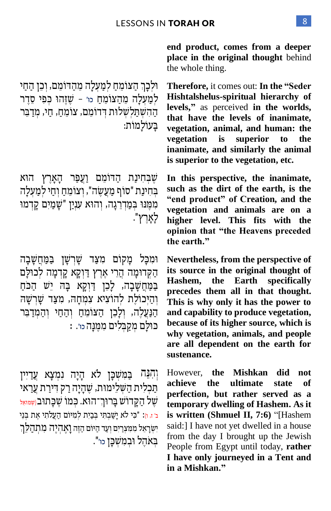וּלִכָּךְ הַצוֹמֵחַ לִמַעָלָה מֵהַדוֹמֵם, וְכֵן הַחַי למעלה מהצומח מי - שזהוּ כפי סדר ההשתלשלות דדומם, צומח, חי, מדבר בִּעוֹלמוֹת:

ש ֶ בְּ חִּ ינַת הַ דּ ו מֵ ם וַ עֲ פַר הָ אָ רֶ ץ הוּא בְּחִינַת "סוֹף מַעֲשֶׂה", וְצוֹמֵחַ וְחַי לְמַעָלַה מְמֵנוּ בְמַדְרֵגֵה, וְהוּא עָנְיַן "שַׁמַיִם קַדְמוּ לארץ".

וּמִכַּל מַקוֹם מִצַּד שַרְשֵׁן בַּמַּחֲשַבַה הַקְּדוּמָה הֲרֵי אֶרֶץ דַּוְקָא קָדְמָה לְכוּלַָם בַּמַּחֲשָׁבָה, לָכֵן דַּוְקָא בָּהּ יֵשׁ הַכּתַ וְהַיְּכוֹלֶת לְהוֹצִיא צְמְחָהּ, מִצָּד שַרְשָׁה הַנַּעֲלֶה, וְלַכֶן הַצוֹמֵחַ וְהַחִי וְהַמְדַבֵּר כּוּלַם מְקַבְלִים מִמֵּנַּה <sub>כוֹ</sub>'. :

However הְאֲה בַּמִּשְׁבָן לֹא הָיָה נִמְצָא עֲדַיִין<br>achieve בכלום יוֹיִינוּ יִי תַּ כְ לִּ ית הַ ש ּ ְ לֵימוּת, ש ֶ הָ יָה רַ ק דִּּ ירַ ת עֲרַ אי שֶׁל הַקֲדוֹשׁ בָרוּךְ־הוּא. כְּמוֹ שֵׁכָּתוּב (שְׁמוּאֵל ב' ז, ו): "כִּי לֹא יַשֲׁבְתִּי בְּבַיִת לִמְיּוֹם הַעֲלֹתִי אֶת בְּנֵי יִשְׂרָאֵל מִמְּצְרַיִם וְעַד הַיּוֹם הַזֶּה וַאהיַה מתהַלךְ בְאהל וּבמשכן כוּ".

**end product, comes from a deeper place in the original thought** behind the whole thing.

**Therefore,** it comes out: **In the "Seder Hishtalshelus-spiritual hierarchy of levels,"** as perceived **in the worlds, that have the levels of inanimate, vegetation, animal, and human: the vegetation is superior to the inanimate, and similarly the animal is superior to the vegetation, etc.**

**In this perspective, the inanimate, such as the dirt of the earth, is the "end product" of Creation, and the vegetation and animals are on a higher level. This fits with the opinion that "the Heavens preceded the earth."**

**Nevertheless, from the perspective of its source in the original thought of Hashem, the Earth specifically precedes them all in that thought. This is why only it has the power to and capability to produce vegetation, because of its higher source, which is why vegetation, animals, and people are all dependent on the earth for sustenance.**

However, **the Mishkan did not achieve the ultimate state of perfection, but rather served as a temporary dwelling of Hashem. As it is written (Shmuel II, 7:6)** "[Hashem said:] I have not yet dwelled in a house from the day I brought up the Jewish People from Egypt until today, **rather I have only journeyed in a Tent and in a Mishkan."**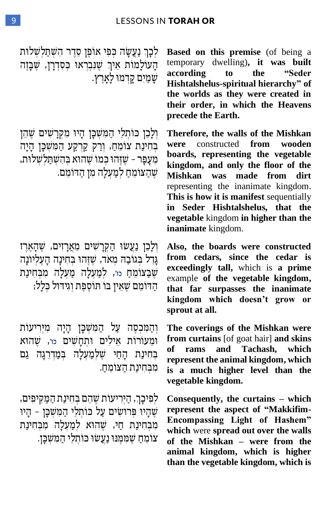לְכָךְ נַעֲשָׂה כִּפִי אוֹפֶן סֵדֶר הִשְׁתַּלְשָׁלוּת הָעוֹלָמוֹת אֵיךְ שֶׁנְבְרְאוּ כִּסְדְרָן, שֶׁבָּזֶה שמים קדמוּ לארץ.

וְלַכֶן כּוֹתְלֵי הַמִּשְׁכַּן הַיוּ מִקְרַשִּׁים שֶׁהֵן בְּחִינַת צוֹמֵחַ, וְרַק קַרְקַע הַמִּשְׁכָּן הָיָה מֵ עָ פָר – ש ֶ זֶּהוּ כְּ מו ש ֶ הוּא בְּ הִּ ש ְ תַּ לְ ש ְ לוּת, שֶׁהַצוֹמֶחַ לְמַעָלָה מִן הַדוֹמֵם.

וְלָכֶן נַעֲשׂוּ הַקְּרַשִׁים מֵאֲרַזִים, שֶׁהַאֲרֶז גַּדֵל בְּגוֹבָה מְאֹד, שֶׁזֶּהוּ בְּחִינַה הַעֲלִיוֹנַה ֹשֶׁבַּצוֹמֵחַ <sub>כוֹ</sub>', לְמַעָלָה מַעָלָה מִבְּחִינַת הדּוֹמם שׁאין בּוֹ תּוֹספַת וגידּוּל כּלל;

וְהַמְּכִסֶה עַל הַמִּשְׁכָּן הָיָה מִיּרִיעוֹת וּמֵעוֹרוֹת אילים וּתְחַשׁים כוּ', שהוא בְּחִינַת הָחַי שֶׁלָמַעָלָה בְּמַדְרֶגֶה גַם ִּמ ְּב ִּחינַת ַה ּצ ו ֵמ ַח.

לפיכך, היריעות שהם בחינת המקיפים, שְׁהָיוּ פְּרוּשִׂים עַל כּוֹתְלֵי הַמְּשָׁכֵן - הַיּוּ מִבְּחִינַת חַי, שֵׁהוּא לְמַעָלַה מִבְּחִינַת צוֹמֶחַ שֶׁמִּמֶּנּוּ נַעֲשׂוּ כּוֹתְלֵי הַמִּשְׁכֵן. **Based on this premise** (of being a temporary dwelling)**, it was built according to the "Seder Hishtalshelus-spiritual hierarchy" of the worlds as they were created in their order, in which the Heavens precede the Earth.**

**Therefore, the walls of the Mishkan were** constructed **from wooden boards, representing the vegetable kingdom, and only the floor of the Mishkan was made from dirt**  representing the inanimate kingdom. **This is how it is manifest** sequentially **in Seder Hishtalshelus, that the vegetable** kingdom **in higher than the inanimate** kingdom.

**Also, the boards were constructed from cedars, since the cedar is exceedingly tall,** which is **a prime**  example **of the vegetable kingdom, that far surpasses the inanimate kingdom which doesn't grow or sprout at all.**

**The coverings of the Mishkan were from curtains** [of goat hair] **and skins of rams and Tachash, which represent the animal kingdom, which is a much higher level than the vegetable kingdom.**

**Consequently, the curtains – which represent the aspect of "Makkifim-Encompassing Light of Hashem" which** were **spread out over the walls of the Mishkan – were from the animal kingdom, which is higher than the vegetable kingdom, which is**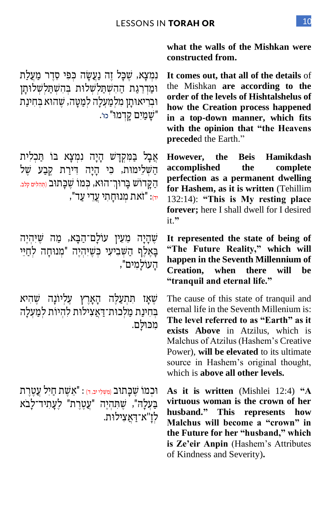נִמְצָא, שֶׁכָּל זֶה נַעֲשָׂה כְּפִי סֶדֶר מַעֲלַת וּמַדְרֵגַת הַהִשְׁתַּ*לְ*שְׁלוּת בְּהִשְׁתַּ*לְ*שָׁלוּתַן וּבְרִיאוּתַן מִלְמַעְלַה לִמַטַּה, שֵהוּא בְּחִינַת "שמים קדמוּ" <sub>כו</sub>ּ׳.

אֲבָל בַּמִּקְדָּשׁ הָיָה נִמְצָא בּוֹ תַּכְלִית הַשַׁלֵימוּת, כִּי הָיָה דִּירַת קֶבַע שֶׁל הַקָּדוֹשׁ בָּרוּךְ־הוּא, כִּמוֹ שֶׁכָּתוּב (תְּהִלִּים קלב, יד( : "ז את מְ נוּחָ תִּ י עֲדֵ י עַ ד" ,

ּוֹ שֶׁהָיָה מֵעֵין עוֹלָם־הַבָּא, מַה שֵ**יִּהְיֵה** ַּבַאֵלֵף הַשְׁבִיעִי כִּשֵׁיִּהְיֶה "מִנוּחַה לִחָיֵּי העולמים",

שְׁאַז תִּתְעַלָּה הָאַרֵץ עַלִיוֹנַה שֶׁהִיא בְּחִינַת מַלְכוּת־דַּאֲצִילוּת לְהָיוֹת לִמַעָלַה מִּ כּ וּלּ ָם.

וּכְמוֹ שֶׁכֲתוּב <sub>(מִשְׁלֵי יִּב,ד)</sub> : "אֲשֶׁת חַיִּל עֲטֶרֶת בַּעָלַה", שֶׁתְּהִיֵּה "עֲטֶרֶת" לֶעֲתִיד־לָבֹא לו"א־דאצילוּת. **what the walls of the Mishkan were constructed from.**

**It comes out, that all of the details** of the Mishkan **are according to the order of the levels of Hishtalshelus of how the Creation process happened in a top-down manner, which fits with the opinion that "the Heavens precede**d the Earth."

**However, the Beis Hamikdash accomplished the complete perfection as a permanent dwelling for Hashem, as it is written** (Tehillim 132:14): **"This is My resting place forever;** here I shall dwell for I desired it.**"** 

**It represented the state of being of "The Future Reality," which will happen in the Seventh Millennium of Creation, when there will be "tranquil and eternal life."**

The cause of this state of tranquil and eternal life in the Seventh Millenium is: **The level referred to as "Earth" as it exists Above** in Atzilus, which is Malchus of Atzilus (Hashem's Creative Power), **will be elevated** to its ultimate source in Hashem's original thought, which is **above all other levels.**

**As it is written** (Mishlei 12:4) **"A virtuous woman is the crown of her husband." This represents how Malchus will become a "crown" in the Future for her "husband," which is Ze'eir Anpin** (Hashem's Attributes of Kindness and Severity)**.**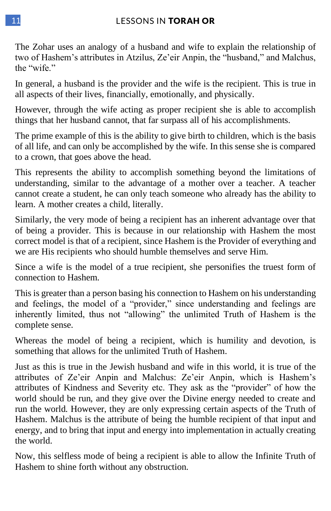The Zohar uses an analogy of a husband and wife to explain the relationship of two of Hashem's attributes in Atzilus, Ze'eir Anpin, the "husband," and Malchus, the "wife."

In general, a husband is the provider and the wife is the recipient. This is true in all aspects of their lives, financially, emotionally, and physically.

However, through the wife acting as proper recipient she is able to accomplish things that her husband cannot, that far surpass all of his accomplishments.

The prime example of this is the ability to give birth to children, which is the basis of all life, and can only be accomplished by the wife. In this sense she is compared to a crown, that goes above the head.

This represents the ability to accomplish something beyond the limitations of understanding, similar to the advantage of a mother over a teacher. A teacher cannot create a student, he can only teach someone who already has the ability to learn. A mother creates a child, literally.

Similarly, the very mode of being a recipient has an inherent advantage over that of being a provider. This is because in our relationship with Hashem the most correct model is that of a recipient, since Hashem is the Provider of everything and we are His recipients who should humble themselves and serve Him.

Since a wife is the model of a true recipient, she personifies the truest form of connection to Hashem.

This is greater than a person basing his connection to Hashem on his understanding and feelings, the model of a "provider," since understanding and feelings are inherently limited, thus not "allowing" the unlimited Truth of Hashem is the complete sense.

Whereas the model of being a recipient, which is humility and devotion, is something that allows for the unlimited Truth of Hashem.

Just as this is true in the Jewish husband and wife in this world, it is true of the attributes of Ze'eir Anpin and Malchus: Ze'eir Anpin, which is Hashem's attributes of Kindness and Severity etc. They ask as the "provider" of how the world should be run, and they give over the Divine energy needed to create and run the world. However, they are only expressing certain aspects of the Truth of Hashem. Malchus is the attribute of being the humble recipient of that input and energy, and to bring that input and energy into implementation in actually creating the world.

Now, this selfless mode of being a recipient is able to allow the Infinite Truth of Hashem to shine forth without any obstruction.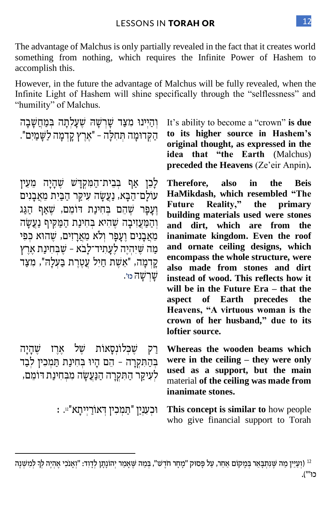The advantage of Malchus is only partially revealed in the fact that it creates world something from nothing, which requires the Infinite Power of Hashem to accomplish this.

However, in the future the advantage of Malchus will be fully revealed, when the Infinite Light of Hashem will shine specifically through the "selflessness" and "humility" of Malchus.

והיינו מצד שַרשַה שעלתה במחשבה ַה ְּקד ּו ָמה ְּת ִּח ָּלה – "אֶ רֶ ץ קָ דְ מָ ה לַש ּ ָ מַ יִּם".

לָכֶן אַף בִּבְית־הַמִּקְדַּשׁ שֶׁהַיָּה מֵעָין עוֹלַם־הַבָּא, נַעֲשָׂה עִיקֵר הַבִּיִת מֵאֲבַנִים וֶעָפָר שֶׁהֶם בְּחִינַת דּוֹמֵם, שֵׁאַף הַגַּג ְו ַה ַּמֲע ִּזי ָבה ֶש ִּהיא ְּב ִּחינַת ַה ַּמ ִּּקיף ַנ ֲע ָ שה מֵאֲבָנִים וֶעָפָר וְלֹא מֵאֲרַזִים, שֵׁהוּא כִּפִּי מה שׁיהיה לעתיד־לבֹא – שבחינת ארץ ַקְדְמָה, "אֵשֶׁת חַיִּל עֲטֶרֶת בַּעָלַה", מִצָּד . שרשה כו׳

רַק שכלונסַאות של ארז שהַיַה בְּהַתִּקְרַה – הֶם הָיוּ בִּחִינַת תַּמְכִין לִבְד לְעִיקַר הַתְּקָרָה הַנַּעֲשָׂה מִבְּחִינַת דּוֹמֵם,

It's ability to become a "crown" **is due to its higher source in Hashem's original thought, as expressed in the idea that "the Earth** (Malchus) **preceded the Heavens** (Ze'eir Anpin)**.**

**Therefore, also in the Beis HaMikdash, which resembled "The Future Reality," the primary building materials used were stones and dirt, which are from the inanimate kingdom. Even the roof and ornate ceiling designs, which encompass the whole structure, were also made from stones and dirt instead of wood. This reflects how it will be in the Future Era – that the aspect of Earth precedes the Heavens, "A virtuous woman is the crown of her husband," due to its loftier source.**

**Whereas the wooden beams which were in the ceiling – they were only used as a support, but the main**  material **of the ceiling was made from inanimate stones.**

: "תַּמְכִין דְּאוֹרְיִיתַא<sup>"</sup>". This concept is similar to how people who give financial support to Torah

<sup>&</sup>lt;sup>ְּוַ</sup> (וְעַיֵּין מַה שֶׁנִּתְבָּאֵר בְּמָקוֹם אַחֵר, עַל פָּסוּק "מָתָר חֹדֶשׁ", בְּמַה שֶׁאָמַר יְהוֹנְתָן לְדָוִד: "וְאָנֹכִי אֶהְיֶה לְּךָ לְמִשְׁנֶה . כוּ'"(.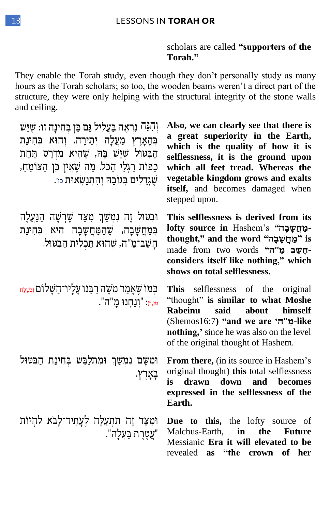scholars are called **"supporters of the Torah."**

They enable the Torah study, even though they don't personally study as many hours as the Torah scholars; so too, the wooden beams weren't a direct part of the structure, they were only helping with the structural integrity of the stone walls and ceiling.

וְהָגָּה נראה בַּעֲלִיל גַם כּן בּחינַה זו: שִׁיַּש בְּהָאֲרֶץ מַעֲלָה יְתֵירַה, וְהוּא בְּחִינַת הַבּטוּל שִׁיַּשׁ בַּהּ, שַׁהיא מדרַס תַּחַת ַּכְּפוֹת רַגְלֵי הַכֹּל. מַה שֵׁאֵין כֵּן הַצוֹמֵחַ, שגדלים בגובה והתנשאות מי. **Also, we can clearly see that there is a great superiority in the Earth, which is the quality of how it is selflessness, it is the ground upon which all feet tread. Whereas the vegetable kingdom grows and exalts**  itself, and becomes damaged when stepped upon. וּבְטוּל זַה נִמְשַׁךְ מִצַד שַרְשַה הַנַּעֲלָה בְּמַחֲשָׁבָה, שֶׁהַמַּחֲשָׁבָה הִיא בְּחִינַת חשב־מ"ה, שהוּא תכלית הבּטוּל. **This selflessness is derived from its is" מ חֲ ש ָּ בָּ הַׁ" word the and" ,thought-A מחשבה**" **a** Hashem's ומחשבה made from two words **"ַׁה ''מַׁ ַׁב ש ָּחconsiders itself like nothing," which shows on total selflessness.** כְּמוֹ שֵׁאַמַר מֹשֶׁה רַבְּנוּ עַלַיו־הַשַּׁלוֹם <sub>(בְּשַׁלַּח</sub>  $\mathfrak{m}, \mathfrak{n}$ : "וְנַחְנוּ מַ"ה". **This** selflessness of the original "thought" **is similar to what Moshe Rabeinu said about himself** (Shemos16:7**) "and we are 'ַׁה ''ָּמ-like nothing,'** since he was also on the level of the original thought of Hashem. **וּמִשַׁם נִמְשַׁךְ וּמִתְלַבֵּשׁ בִּחִינַת הַבְּטוּל** בָּ אָ רֶ ץ. **From there,** (in its source in Hashem's original thought) **this** total selflessness **is drawn down and becomes expressed in the selflessness of the Earth.**  וּמִצַּד זֵה תְּתְעַלֵּה לֵעֲתִיד־לָבֹא לִהִיוֹת "עֲטֶ רֶ ת בַּ עְ לָהּ ". **Due to this,** the lofty source of Malchus-Earth, **in the Future**  Messianic **Era it will elevated to be** revealed **as "the crown of her**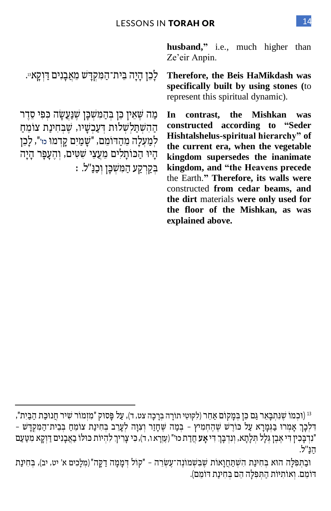**husband,"** i.e., much higher than Ze'eir Anpin.

מַה שֵׁאֵין כֵּן בְּהַמִּשְׁכָּן שֵׁנַּעֲשָׂה כִּפִּי סֵדֵר ההשתלשלות דעכשיו, שבחינת צומח לְמַעָלָה מֶהַדוֹמֵם, "שַׁמַיִם קַדְמוּ כוּ'", לַבֵן הִיוּ הַכּוֹתַלים מִעָצִי שִׁטִּים, והַעֲפַר הַיָּה בְּקַרְקַע הַמִּשְׁכַּן וְכַנַּ''ל. :

ּיָה בֵּית־הַמְּקְדָּשׁ מֵאֲבָנִים דַּוְקָאִיּ. Therefore, the Beis HaMikdash was **specifically built by using stones (**to represent this spiritual dynamic).

> **In contrast, the Mishkan was constructed according to "Seder Hishtalshelus-spiritual hierarchy" of the current era, when the vegetable kingdom supersedes the inanimate kingdom, and "the Heavens precede** the Earth.**" Therefore, its walls were** constructed **from cedar beams, and the dirt** materials **were only used for the floor of the Mishkan, as was explained above.**

וּ (וּכְמוֹ שֶׁנִּתְבָאֵר גַּם כֵּן בִּמָקוֹם אַחֵר (לִקּוּטֵי תוֹרָה בִּרָכָה צט, ד), עַל פַּסוּק "מִזְמוֹר שִׁיר חֲנוּכַת הַבַּיִת", – דלכר אמרו בַּגְמַרַא עַל כּוֹרֵשׁ שַׁהַחִמִיץ - בִּמַה שֵׁחַזַר וְצְוַּה לְעָרֶב בְּחִינַת צוֹמֶחַ בְּבֶית־הַמִּקְדָּשׁ "נִדְבַּכִין דִּי אַבֵן גִלַל חִלַחַא, וְנִדְבָּךְ דִי **אָע** חֲדַת כוּ'" (עֵזְרַא ו, ד), כִּי עָרִיךְ לְהִיוֹת כּוּלוֹ בָאֲבָנִים דַוְקָא מְטַעַם הַ נַּ''ל.

וּבַתִּפְלֵּה הוּא בִּחִינַת הִשִּׁתַּחֲוָאוֹת שֵׁבִּשְׁמוֹנֵה־עֲשְׂרֵה - "קוֹל דְּמַמָּה דַקָּה"(מִלָּכִים א' יט, יב), בְּחִינַת דוֹמֵם. וְאוֹתִיּוֹת הַתִּפְלָה הֵם בְּחִינַת דוֹמֵם).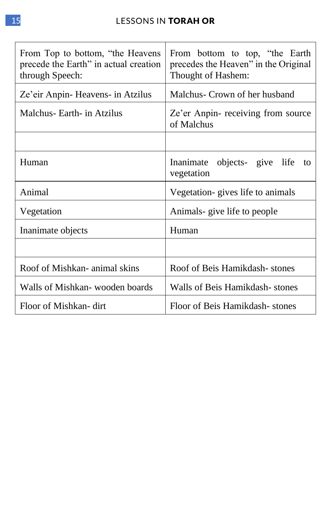| From Top to bottom, "the Heavens"<br>precede the Earth" in actual creation<br>through Speech: | From bottom to top, "the Earth"<br>precedes the Heaven" in the Original<br>Thought of Hashem: |
|-----------------------------------------------------------------------------------------------|-----------------------------------------------------------------------------------------------|
| Ze'eir Anpin-Heavens- in Atzilus                                                              | Malchus- Crown of her husband                                                                 |
| Malchus- Earth- in Atzilus                                                                    | Ze'er Anpin- receiving from source<br>of Malchus                                              |
|                                                                                               |                                                                                               |
| Human                                                                                         | Inanimate objects- give life<br>to<br>vegetation                                              |
| Animal                                                                                        | Vegetation-gives life to animals                                                              |
| Vegetation                                                                                    | Animals-give life to people                                                                   |
| Inanimate objects                                                                             | Human                                                                                         |
|                                                                                               |                                                                                               |
| Roof of Mishkan-animal skins                                                                  | Roof of Beis Hamikdash-stones                                                                 |
| Walls of Mishkan-wooden boards                                                                | Walls of Beis Hamikdash-stones                                                                |
| Floor of Mishkan- dirt                                                                        | Floor of Beis Hamikdash-stones                                                                |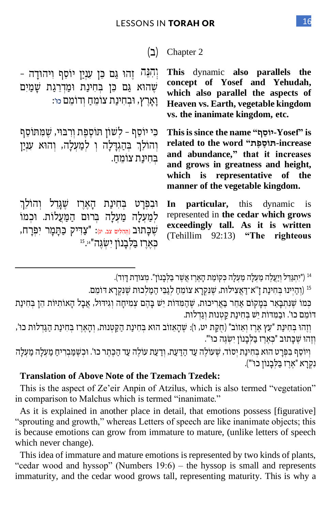$(L)$  Chapter 2

ּוְהְגָּה זָהוּ גַּם כֵּן עַנַיַן יוֹסֵף וִיהוּדַה – שהוּא גַם כֵּן בִּחִינַת וּמַדרגַת שַׁמַיִם וַאַרץ, וּבְחִינַת צומִח ודומם מִ׳:

כִּי יוֹסֵף – לְשׁוֹן תּוֹסֶפֶת וְרִבּוּי, שֵׁמִּתּוֹסֶף וְהוֹלֵךְ בְּהַגְדָלָה וְ לִמַעְלָה, וְהוּא עִנְיַן בחינת צומח.

וּבפרט בחינת הארז שגדל והולך למעלה מעלה ברום הַמַּעֲלוֹת. וּכִמוֹ עַבְּתוּב (<sub>תִּהִלִּים צב, יג</sub>): "צַדִּיק כַּתָּמָר יִפְרָח, "Crehillim" ּכְּאֶרֶז בַּלְבָנוֹן יִשְׂגֶּה"<sup>15</sup>.

**This** dynamic **also parallels the concept of Yosef and Yehudah, which also parallel the aspects of Heaven vs. Earth, vegetable kingdom vs. the inanimate kingdom, etc.**

**This is since the name "ף ֵס ֹיו-Yosef" is increase-ת וֹ סֶ פֶ ת" word the to related and abundance," that it increases and grows in greatness and height, which is representative of the manner of the vegetable kingdom.** 

**In particular,** this dynamic is represented in **the cedar which grows exceedingly tall. As it is written**  92:13) **"The righteous** 

<sup>14</sup> ("יִתְגַּדֵּל וְיַעֲלֶה מַעָלָה מַעָלָה כִּקוֹמַת הָאֵרֵז אֲשֶׁר בַּלְּבָנוֹן". מְצוּדַת דָּוִד).

וּ הַיינוּ בַחִינת ז"א־דַּאַצילוּת, שׁנַקְרֹא צוֹמַח לֹגְבֵּי הַמַלְכוּת שַׁנַקְרֹא דּוֹמֵם.

ָּכְּמוֹ שַׁנַתְּבַּאֵר בִּמַקוֹם אַחֶר בַּאֲרִיכוּת, שֶׁהַמְּדּוֹת יֵשׁ בָּהֶם צְמִיחַה וְגִידּוּל, אֲבָל הַאוֹתִיּוֹת הֶן בְּחִינַת דּוֹמֵם כוּ'. וּבַמְּדּוֹת יֵשׁ בְּחִינַת קַטְנוּת וְגַדְלוּת.

וְזֵהוּ בִּחִינַת "עֵץ אֵרֵז וְאֵזוֹב" (חָקַת יט, ו): שֶׁהָאֵזוֹב הוּא בִּחִינַת הַקַּטְנוּת, וְהָאֶרֶז בְּחִינַת הַגַּדְלוּת כוּ', וְ זֶהוּ ש ֶ כָּ תוּב "כְּ אֶ רֶ ז בַּ לְּ בָ נו ן יִּ ש ְ גֶּה כוּ'".

וְיוֹסֵף בִּפְרָט הוּא בְּחִינַת יִסוֹד, שֵׁעוֹלֵה עַד הַדַּעַת, וְדַעַת עוֹלֵה עַד הַבֶּתֶר כוּ'. וּכְשֵׁמַבְרִיחַ מַעְלָה מַעְלַה נקרא "ארז בַּלְבַנוֹן כוּ'").

#### **Translation of Above Note of the Tzemach Tzedek:**

This is the aspect of Ze'eir Anpin of Atzilus, which is also termed "vegetation" in comparison to Malchus which is termed "inanimate."

As it is explained in another place in detail, that emotions possess [figurative] "sprouting and growth," whereas Letters of speech are like inanimate objects; this is because emotions can grow from immature to mature, (unlike letters of speech which never change).

This idea of immature and mature emotions is represented by two kinds of plants, "cedar wood and hyssop" (Numbers 19:6) – the hyssop is small and represents immaturity, and the cedar wood grows tall, representing maturity. This is why a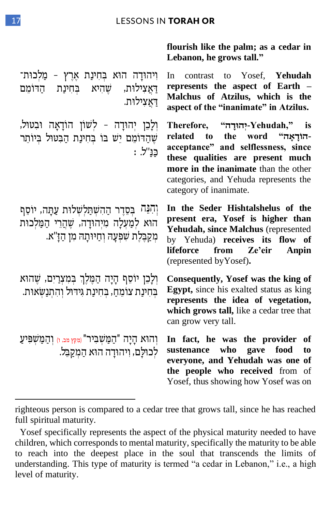**flourish like the palm; as a cedar in Lebanon, he grows tall."**

דַּ אֲ צִּ ילוּת. In contrast to Yosef, **Yehudah represents the aspect of Earth – Malchus of Atzilus, which is the aspect of the "inanimate" in Atzilus.**

> **Therefore, "דהָּ יהוְ-Yehudah," is related to the word "ַׁה ָּא ָּד ֹהוacceptance" and selflessness, since these qualities are present much more in the inanimate** than the other categories, and Yehuda represents the category of inanimate.

> **In the Seder Hishtalshelus of the present era, Yosef is higher than Yehudah, since Malchus** (represented by Yehuda) **receives its flow of lifeforce from Ze'eir Anpin**  (represented byYosef)**.**

> **Consequently, Yosef was the king of Egypt,** since his exalted status as king **represents the idea of vegetation, which grows tall,** like a cedar tree that can grow very tall.

> **In fact, he was the provider of sustenance who gave food to everyone, and Yehudah was one of the people who received** from of Yosef, thus showing how Yosef was on

וִיהוּדָה הוּא בְּחִינַת אֵרֵץ - מַלְכוּת־ דַאַצילוּת, שהיא בחינַת הַדּוֹמִם

וִבְטוּל, Therefore, וְלָכֵן יְהוּדָה - לְשׁוֹן הוֹדָאָה וּבְטּוּל, שהדומם יש בּוֹ בּחִינת הבּטּוּל בּיוֹתר כַּנַּ''ל. :ׁ

וְהָגָּה בְּסֵדֵר הַהָשְׁתַ*ּלְ*שָׁלוּת עַתָּה, יוֹסֵף הוּא לִמַעָלַה מִיְהוּדַה, שֵׁהֲרֵי הַמַּלְכוּת ָמקבלת שפעה וחיותה מן הז"א.

וַלָכֶן יוֹסֶף הַיַה הַמֵּלֶךְ בְּמִצְרַיִם, שֶׁהוּא בחינת צומח, בחינת גידול והתנשאות.

וְהוֹא הַיָּה "הַמַּשׁבִּיר" <sub>(מִקֵּץ מב, ו) והַמַּשׁפִּיעַ</sub> לכוּלִם, ויהוּדַה הוּא הַמַקַבַּל.

righteous person is compared to a cedar tree that grows tall, since he has reached full spiritual maturity.

Yosef specifically represents the aspect of the physical maturity needed to have children, which corresponds to mental maturity, specifically the maturity to be able to reach into the deepest place in the soul that transcends the limits of understanding. This type of maturity is termed "a cedar in Lebanon," i.e., a high level of maturity.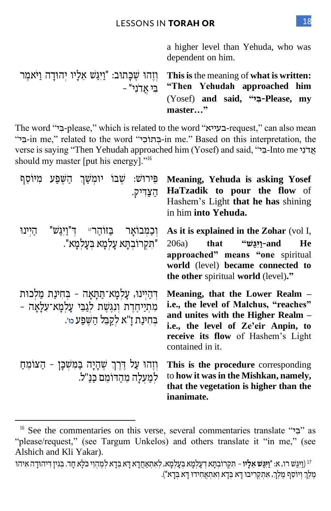a higher level than Yehuda, who was dependent on him.

וְזֶהוּ שֶׁכָּתוּב: "וַיִּגַּשׁ אֵלָיו יִהוּדָה וַיֹּאמֶר בִּי אֲדֹנִי" – **This is** the meaning of **what is written: "Then Yehudah approached him** (Yosef) **and said, "י ִּ ב**-**Please, my master…"**

The word "י ִּּב-please," which is related to the word "בעייא-request," can also mean "י ִּּב-in me," related to the word "י ִּכ תו ְּב-in me." Based on this interpretation, the verse is saying "Then Yehudah approached him (Yosef) and said, "יְבוּי Into meshould my master [put his energy]."<sup>16</sup>

| פֵּירוּשׁ: שֵׁבוֹ יוּמִשַּׁךְ הַשֵּׁפַע מִיּוֹסֵף<br>הַצַּדִּיק.                                                                    | Meaning, Yehuda is asking Yosef<br>HaTzadik to pour the flow of<br>Hashem's Light that he has shining<br>in him <b>into Yehuda.</b>                                                                                    |
|-------------------------------------------------------------------------------------------------------------------------------------|------------------------------------------------------------------------------------------------------------------------------------------------------------------------------------------------------------------------|
| וְכַמְּבוֹאָר בַּזּוֹהַר״ דְ"וַיִּגַּשׁ" הַיְינוּ<br>"תִּקְרוֹבְתָּא עָלְמָא בְּעָלְמָא".                                           | As it is explained in the Zohar (vol I,<br>$206a$ ) that "יִגַּשׁ" -and<br>He<br>approached" means "one spiritual<br>world (level) became connected to<br><b>the other spiritual world (level)."</b>                   |
| דְהַיְינוּ, עָלְמָא־תַּתָּאָה - בִּחִינַת מַלִכוּת<br>מִתְיַיחֶדֶת וְנְגֶשֶׁת לְגַבֵּי עָלְמָא־עָלָאָה -<br>בחינת ז"א לקבל השפע מי. | Meaning, that the Lower Realm –<br>i.e., the level of Malchus, "reaches"<br>and unites with the Higher Realm -<br>i.e., the level of Ze'eir Anpin, to<br><b>receive its flow</b> of Hashem's Light<br>contained in it. |
| וְזֶהוּ עַל דֶּרֶךְ שֶׁהָיָה בַּמִּשְׁכָּן - הַצוֹמֵחַ<br>למַעָלַה מֵהַדוֹמֵם כַּנַ"ל.                                              | This is the procedure corresponding<br>to how it was in the Mishkan, namely,<br>that the vegetation is higher than the<br>inanimate.                                                                                   |

<sup>&</sup>lt;sup>16</sup> See the commentaries on this verse, several commentaries translate "בִּד*''* as "please/request," (see Targum Unkelos) and others translate it "in me," (see Alshich and Kli Yakar).

<sup>&</sup>lt;sup>17</sup> (וַיְּגֵּשׁ רו, א: "וַיְּגַּשׁ א**ָלָיו** – תִּקְרוֹבְתָּא דְעַלְמַא בְּעֲלְמָא, לְאִתְאָחֲדָא דָּא בְּדָא לְמֶהְוֶי כֹּלָא חָד. בְּגִין דִּיהוּדַה אִיהוּ ְמֶלֶךְ וְיוֹסֶף מֶלֶךְ, אִתְקָרִיבוּ דָּא בְּדַא וְאִתְאֲחִידוּ דָּא בְּדַא").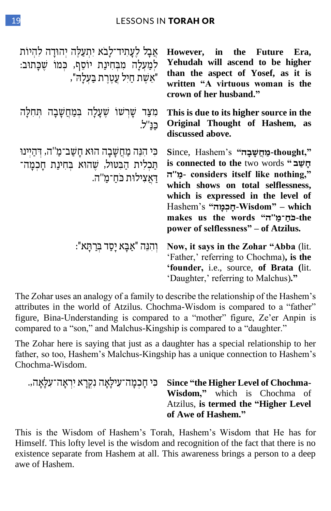| אֲבָל לַעֲתִיד־לָבֹא יִתְעַלֶּה יְהוּדָה לְהִיוֹת<br>למַעָלָה מִבְחִינַת יוֹסֵף, כִּמוֹ שֵׁכָּתוּב:<br>"אַשֶׁת חַיִּל עֲטֶרֶת בַּעָלַה", | However, in the Future Era,<br>Yehudah will ascend to be higher<br>than the aspect of Yosef, as it is<br>written "A virtuous woman is the<br>crown of her husband."                                                                                                                                      |
|------------------------------------------------------------------------------------------------------------------------------------------|----------------------------------------------------------------------------------------------------------------------------------------------------------------------------------------------------------------------------------------------------------------------------------------------------------|
| מִצַּד שָׁרְשׁוֹ שֶׁעָלָה בְּמַחֲשָׁבָה תְּחִלָּה<br>כנ"ל.                                                                               | This is due to its higher source in the<br>Original Thought of Hashem, as<br>discussed above.                                                                                                                                                                                                            |
| כִּי הִנֵּה מַחֲשָׁבָה הוּא חָשַב־מַ"ה, דְּהַיִּינוּ<br>תַּכְלִית הַבְּטוּל, שֶׁהוּא בְּחִינַת חָכְמָה־<br>דַאַצִילוּת כּחַ־מַ"ה.        | ".thought-מַחֲשָׁבָה" Since, Hashem's<br>is connected to the two words "חַשַׁב<br>-considers itself like nothing,"<br>which shows on total selflessness,<br>which is expressed in the level of<br>Hashem's "חַכְמַה-"Wisdom" – which<br>the-כחַ־מַ"ה" the words-<br>power of selflessness" – of Atzilus. |
| ּוְהִנֵּה "אַבַּא יַסָד בְּרַתָּא":                                                                                                      | Now, it says in the Zohar "Abba (lit.<br>'Father,' referring to Chochma), is the<br>'founder, i.e., source, of Brata (lit.<br>'Daughter,' referring to Malchus)."                                                                                                                                        |

The Zohar uses an analogy of a family to describe the relationship of the Hashem's attributes in the world of Atzilus. Chochma-Wisdom is compared to a "father" figure, Bina-Understanding is compared to a "mother" figure, Ze'er Anpin is compared to a "son," and Malchus-Kingship is compared to a "daughter."

The Zohar here is saying that just as a daughter has a special relationship to her father, so too, Hashem's Malchus-Kingship has a unique connection to Hashem's Chochma-Wisdom.

```
Since "the Higher Level of Chochma-<br>Wisdom." which is Chochma of
בי חַכמַה־עיל<u>ַא</u>ה נקרא יראַה־עלָאַה,.
                                              Atzilus, is termed the "Higher Level 
                                              of Awe of Hashem."
```
This is the Wisdom of Hashem's Torah, Hashem's Wisdom that He has for Himself. This lofty level is the wisdom and recognition of the fact that there is no existence separate from Hashem at all. This awareness brings a person to a deep awe of Hashem.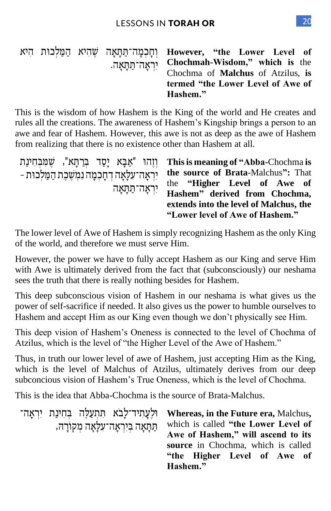וְ חָ כְ מָ ה־תַּ תָּ אָ ה ש ֶ הִּ יא הַ מַּ לְ כוּת הִּ יא יִּרְ אָ ה־תַּ תָּ אָ ה. **However, "the Lower Level of Chochmah-Wisdom," which is** the Chochma of **Malchus** of Atzilus, **is termed "the Lower Level of Awe of Hashem."**

This is the wisdom of how Hashem is the King of the world and He creates and rules all the creations. The awareness of Hashem's Kingship brings a person to an awe and fear of Hashem. However, this awe is not as deep as the awe of Hashem from realizing that there is no existence other than Hashem at all.

|                                                                          | יַסְד בְּרַתָּא", שֶׁמְּבְחִינַת "Mis is meaning of "Abba-Chochma is                                                                                                            |
|--------------------------------------------------------------------------|---------------------------------------------------------------------------------------------------------------------------------------------------------------------------------|
| יִרְאָה־עִלָּאָה דְחָכְמָה נִמְשֶׁכֶת הַמַּלְכוּת -<br>יִרְאָה־תַּתָּאָה | the source of Brata-Malchus": That<br>the "Higher Level of Awe of<br>Hashem" derived from Chochma,<br>extends into the level of Malchus, the<br>"Lower level of Awe of Hashem." |

The lower level of Awe of Hashem is simply recognizing Hashem as the only King of the world, and therefore we must serve Him.

However, the power we have to fully accept Hashem as our King and serve Him with Awe is ultimately derived from the fact that (subconsciously) our neshama sees the truth that there is really nothing besides for Hashem.

This deep subconscious vision of Hashem in our neshama is what gives us the power of self-sacrifice if needed. It also gives us the power to humble ourselves to Hashem and accept Him as our King even though we don't physically see Him.

This deep vision of Hashem's Oneness is connected to the level of Chochma of Atzilus, which is the level of "the Higher Level of the Awe of Hashem."

Thus, in truth our lower level of awe of Hashem, just accepting Him as the King, which is the level of Malchus of Atzilus, ultimately derives from our deep subconcious vision of Hashem's True Oneness, which is the level of Chochma.

This is the idea that Abba-Chochma is the source of Brata-Malchus.

וּלְעַתִּיד־לָבֹא תִּתְעַלֶּה בְּחִינַת יִרְאָה־ תַּתַּאַה בִּיְרִאַה־עַלָּאַה מִקוֹרַהּ, **Whereas, in the Future era,** Malchus**,**  which is called **"the Lower Level of Awe of Hashem," will ascend to its source** in Chochma, which is called **"the Higher Level of Awe of Hashem."**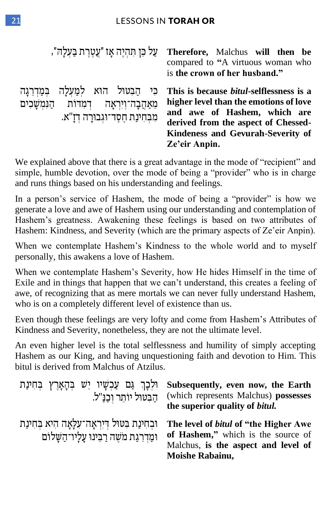| ּעַל כֵּן תִּהְיֵה אַז "עַטֶרֵת בַּעָלָה",                                                                                       | Therefore, Malchus will then be<br>compared to "A virtuous woman who<br>is the crown of her husband."                                                                                                                  |
|----------------------------------------------------------------------------------------------------------------------------------|------------------------------------------------------------------------------------------------------------------------------------------------------------------------------------------------------------------------|
| כִּי הַבְּטוּל הוּא לְמַעָלַה בְּמַדְרֵגַה<br>מֵאַהֲבָה־וְיִרְאָה דְמְדוֹת הַנִּמְשָׁכִים<br>מִבְחִינַת חֱסֶד־וּגְבוּרַה דְזַ"א. | This is because <i>bitul</i> -selflessness is a<br>higher level than the emotions of love<br>and awe of Hashem, which are<br>derived from the aspect of Chessed-<br>Kindeness and Gevurah-Severity of<br>Ze'eir Anpin. |

We explained above that there is a great advantage in the mode of "recipient" and simple, humble devotion, over the mode of being a "provider" who is in charge and runs things based on his understanding and feelings.

In a person's service of Hashem, the mode of being a "provider" is how we generate a love and awe of Hashem using our understanding and contemplation of Hashem's greatness. Awakening these feelings is based on two attributes of Hashem: Kindness, and Severity (which are the primary aspects of Ze'eir Anpin).

When we contemplate Hashem's Kindness to the whole world and to myself personally, this awakens a love of Hashem.

When we contemplate Hashem's Severity, how He hides Himself in the time of Exile and in things that happen that we can't understand, this creates a feeling of awe, of recognizing that as mere mortals we can never fully understand Hashem, who is on a completely different level of existence than us.

Even though these feelings are very lofty and come from Hashem's Attributes of Kindness and Severity, nonetheless, they are not the ultimate level.

An even higher level is the total selflessness and humility of simply accepting Hashem as our King, and having unquestioning faith and devotion to Him. This bitul is derived from Malchus of Atzilus.

| וּלכַךְ גַּם עַכְשֵׁיוּ יֵשׁ בְּהָאַרֵץ בְּחִינַת<br>ּהַבִּטוּל יוֹתֵר וְכַנַּ"ל.                    | Subsequently, even now, the Earth<br>(which represents Malchus) possesses<br>the superior quality of bitul.                                   |
|------------------------------------------------------------------------------------------------------|-----------------------------------------------------------------------------------------------------------------------------------------------|
| וּבְחִינַת בְּטוּל דְיִרְאָה־עָלָאָה הִיא בְּחִינַת<br>ומַדְרֵגַת מֹשֶׁה רַבִּינוּ עַלַיו־הַשַּׁלוֹם | The level of <i>bitul</i> of "the Higher Awe"<br>of Hashem," which is the source of<br>Malchus, is the aspect and level of<br>Moishe Rabainu, |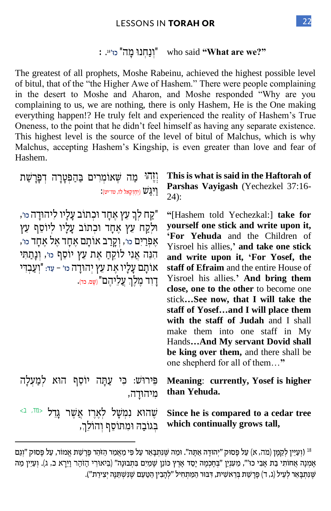#### LESSONS IN TORAH OR 22

: י<sup>וֹגַּה**ְ"** ci<sup>81</sup> cr<sup>81</sup>. • [הָחָנוּ מָה" cr<sup>81</sup></sup>

The greatest of all prophets, Moshe Rabeinu, achieved the highest possible level of bitul, that of the "the Higher Awe of Hashem." There were people complaining in the desert to Moshe and Aharon, and Moshe responded "Why are you complaining to us, we are nothing, there is only Hashem, He is the One making everything happen!? He truly felt and experienced the reality of Hashem's True Oneness, to the point that he didn't feel himself as having any separate existence. This highest level is the source of the level of bitul of Malchus, which is why Malchus, accepting Hashem's Kingship, is even greater than love and fear of Hashem.

| וְיֶהוּ מַה שֶׁאוֹמִרִים בַּהַפִּטָרָה דִפָּרָשַׁת<br>[יחוקאל לו, טו־יט):                                                                                                                                                                                                                                            | This is what is said in the Haftorah of<br>Parshas Vayigash (Yechezkel 37:16-<br>$24$ :                                                                                                                                                                                                                                                                                                                                                                                                                                                                                                       |
|----------------------------------------------------------------------------------------------------------------------------------------------------------------------------------------------------------------------------------------------------------------------------------------------------------------------|-----------------------------------------------------------------------------------------------------------------------------------------------------------------------------------------------------------------------------------------------------------------------------------------------------------------------------------------------------------------------------------------------------------------------------------------------------------------------------------------------------------------------------------------------------------------------------------------------|
| "קַח לִךְ עֵץ אֵחֲד וּכְתוֹב עַלַיו לִיהוּדַה מּ׳,<br>וּלְקַח עֵץ אֶחֲד וּכְתוֹב עַלַיו לִיוֹסֵף עֵץ<br>אֵפְרַיִם כּוּ׳, וְקָרַב אוֹתַם אֲחֲד אֱל אֲחֲד כּוּ׳,<br>הִנֵּה אֲנִי לוֹקֵחַ אֵת עֵץ יוֹסֵף מּ׳, וְנָתַתִּי<br>אותם עַלַיו אַת עֵץ יִהוּדָה מוּ׳ – עַד: "וְעַבְדִי<br>ַדְוָד מֵלֶךְ עֲלֵיהֵם" (שָׁם, כּד). | "[Hashem told Yechezkal:] take for<br>yourself one stick and write upon it,<br>'For Yehuda and the Children of<br>Yisroel his allies,' and take one stick<br>and write upon it, 'For Yosef, the<br>staff of Efraim and the entire House of<br>Yisroel his allies.' And bring them<br>close, one to the other to become one<br>stickSee now, that I will take the<br>staff of Yosefand I will place them<br>with the staff of Judah and I shall<br>make them into one staff in My<br>HandsAnd My servant Dovid shall<br>be king over them, and there shall be<br>one shepherd for all of them" |
| פֵּירוּשׁ: כִּי עַתָּה יוֹסֵף הוֹא לִמַעָלַה                                                                                                                                                                                                                                                                         | Meaning: currently, Yosef is higher                                                                                                                                                                                                                                                                                                                                                                                                                                                                                                                                                           |
| מִיהוּדַה,                                                                                                                                                                                                                                                                                                           | than Yehuda.                                                                                                                                                                                                                                                                                                                                                                                                                                                                                                                                                                                  |
| ּשֶׁהוּא נִמְשָׁל לְאֶרֶז אֲשֶׁר גַּדֵל <sup>&lt; וּ</sup>                                                                                                                                                                                                                                                           | Since he is compared to a cedar tree                                                                                                                                                                                                                                                                                                                                                                                                                                                                                                                                                          |
| בגובה ומתוסף והולך,                                                                                                                                                                                                                                                                                                  | which continually grows tall,                                                                                                                                                                                                                                                                                                                                                                                                                                                                                                                                                                 |

וּ (וְעַיֵּין לְקַמָּן (מה, א) עַל פָּסוּק "יְהוּדָה אַתָּה". וּמַה שֶׁנִּתְבָאֵר עַל פִּי מַאַמַר הַזֹּהַר פַּרַשַׁת אֵמוֹר, עַל פַּסוּק "וּגִם ַאֲמְנָה אֲחֹוֹתִי בַת אָבִי כוּ'", מֵעְנַין "בְּחָכְמָה יָסַד אָרֵץ כּוֹנֵן שַׁמַיִם בִּתְבוּנָה" (בֵּיאוּרֵי הַזּהַר וַיֵּרָא כ, ג). וְעַיֵין מַה ְשִׁנַּתְבַאֵר לְעֵיל (ג, ד) פַּרְשַׁת בַּרְאשִׁית, דִּבּוּר הַמַּתְחִיל "לָהְבִין הַטַעַם שַׁנַּשָׁתַּנָּה יִצְיִרְת").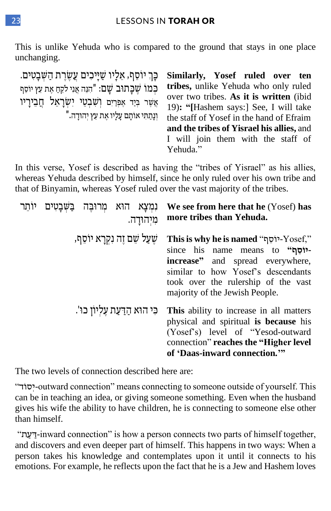This is unlike Yehuda who is compared to the ground that stays in one place unchanging.

| ּבָּךְ יוֹסֵף, אֵלָיו שַׁיַּיִכִים עֲשֶׂרֶת הַשְּׁבָטִים.   |  |
|-------------------------------------------------------------|--|
| כְּמוֹ שֶׁכָּתוּב שָׁם: "הִנֵּה אֲנִי לֹקֵחַ אֶת עֵץ יוֹסֵף |  |
| אֲשֶׁר בְּיַד אֶפְרַיִם וְשָׁבְטֵי יִשְׂרָאֵל חֲבֵירָיו     |  |
| וְנָתַתִּי אוֹתָם עָלָיו אֶת עֵץ יְהוּדָה."                 |  |

**Similarly, Yosef ruled over ten tribes,** unlike Yehuda who only ruled over two tribes. **As it is written** (ibid 19)**: "[**Hashem says:] See, I will take the staff of Yosef in the hand of Efraim **and the tribes of Yisrael his allies,** and I will join them with the staff of Yehuda<sup>"</sup>

In this verse, Yosef is described as having the "tribes of Yisrael" as his allies, whereas Yehuda described by himself, since he only ruled over his own tribe and that of Binyamin, whereas Yosef ruled over the vast majority of the tribes.

| נמצא הוא מרובה בַּשָּׁבַטִים יוֹתֵר<br>מיהודה. | We see from here that he (Yosef) has<br>more tribes than Yehuda.                                                                                                                                                                    |
|------------------------------------------------|-------------------------------------------------------------------------------------------------------------------------------------------------------------------------------------------------------------------------------------|
| שֵעֲל שֵם זֵה נִקְרַא יוֹסֵף,                  | This is why he is named "יוֹסֵף-Yosef,"<br>since his name means to "יוסף<br><b>increase</b> " and spread everywhere,<br>similar to how Yosef's descendants<br>took over the rulership of the vast<br>majority of the Jewish People. |
| כִּי הוֹא הַדַעַת עַלִיוֹן כו'.                | This ability to increase in all matters<br>physical and spiritual is because his<br>(Yosef's) level of "Yesod-outward<br>connection" reaches the "Higher level"<br>of 'Daas-inward connection."                                     |

The two levels of connection described here are:

"ד סוְי-outward connection" means connecting to someone outside of yourself. This can be in teaching an idea, or giving someone something. Even when the husband gives his wife the ability to have children, he is connecting to someone else other than himself.

"תַּתוּ" inward connection" is how a person connects two parts of himself together, and discovers and even deeper part of himself. This happens in two ways: When a person takes his knowledge and contemplates upon it until it connects to his emotions. For example, he reflects upon the fact that he is a Jew and Hashem loves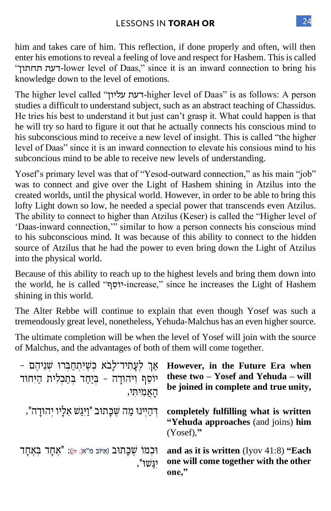him and takes care of him. This reflection, if done properly and often, will then enter his emotions to reveal a feeling of love and respect for Hashem. This is called "תחתון דעת-lower level of Daas," since it is an inward connection to bring his knowledge down to the level of emotions.

The higher level called "עליון דעת-higher level of Daas" is as follows: A person studies a difficult to understand subject, such as an abstract teaching of Chassidus. He tries his best to understand it but just can't grasp it. What could happen is that he will try so hard to figure it out that he actually connects his conscious mind to his subconscious mind to receive a new level of insight. This is called "the higher level of Daas" since it is an inward connection to elevate his consious mind to his subconcious mind to be able to receive new levels of understanding.

Yosef's primary level was that of "Yesod-outward connection," as his main "job" was to connect and give over the Light of Hashem shining in Atzilus into the created worlds, until the physical world. However, in order to be able to bring this lofty Light down so low, he needed a special power that transcends even Atzilus. The ability to connect to higher than Atzilus (Keser) is called the "Higher level of 'Daas-inward connection,'" similar to how a person connects his conscious mind to his subconscious mind. It was because of this ability to connect to the hidden source of Atzilus that he had the power to even bring down the Light of Atzilus into the physical world.

Because of this ability to reach up to the highest levels and bring them down into the world, he is called "יוֹסֵף"-increase," since he increases the Light of Hashem shining in this world.

The Alter Rebbe will continue to explain that even though Yosef was such a tremendously great level, nonetheless, Yehuda-Malchus has an even higher source.

The ultimate completion will be when the level of Yosef will join with the source of Malchus, and the advantages of both of them will come together.

| However, in the Future Era when<br>these two - Yosef and Yehuda - will<br>be joined in complete and true unity, | - אַךְ לַעָתִיד־לַבֹא כִּשֵׁיִּתְחַבְּרוּ שְׁנֵיהֵם<br>יוֹסֵף וִיהוּדָה - בִּיַחַד בִּתַכְלִית הַיִּחוּד<br>האמיתי, |
|-----------------------------------------------------------------------------------------------------------------|---------------------------------------------------------------------------------------------------------------------|
| completely fulfilling what is written<br>"Yehuda approaches (and joins) him<br>$(Yosef)$ ."                     | דְּהַיִּינוּ מַה שֵׁכָּתוּב "וַיְּגַשׁ אֵלָיו יִהוּדָה",                                                            |
| and as it is written $(Iyov 41:8)$ "Each<br>one will come together with the other<br>one,"                      | וּכְמוֹ שַׁכֲתוּב (אִיוֹב מ"אן, חֵ): "אָחֲד בְּאֶחֲד<br>יגשו".                                                      |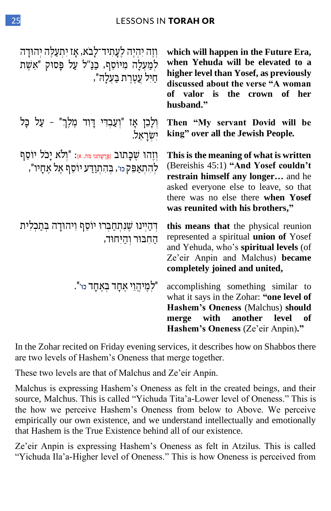| וזה יהיה לעתיד לבא, אז יתעלה יהודה<br>למַעלָה מִיוֹסֵף, כַּנַּ"ל עַל פָּסוּק "אֵשֶׁת<br>חַיִל עֲטֻרַת בַעלַה", | which will happen in the Future Era,<br>when Yehuda will be elevated to a<br>higher level than Yosef, as previously<br>discussed about the verse "A woman<br>of valor is the<br>crown of her<br>husband."                               |
|----------------------------------------------------------------------------------------------------------------|-----------------------------------------------------------------------------------------------------------------------------------------------------------------------------------------------------------------------------------------|
| וְלָכֵן אָז "וְעַבִדִּי דָּוִד מֶלֶךְ" - עַל כָּל<br>ישראל.                                                    | Then "My servant Dovid will be<br>king" over all the Jewish People.                                                                                                                                                                     |
| וְזֵהוּ שֵׁכָּתוּב (פְרָשְׁתֵּנוּ מה, א): "וְלֹא יָכֹל יוֹסֵף<br>להתאפק מי, בהתודע יוסף אל אחיו",              | This is the meaning of what is written<br>(Bereishis 45:1) "And Yosef couldn't<br>restrain himself any longer and he<br>asked everyone else to leave, so that<br>there was no else there when Yosef<br>was reunited with his brothers," |
| דְהַיְינוּ שֶׁנִּתְחַבְּרוּ יוֹסֵף וִיהוּדָה בִּתַכְלִית<br>הַחִבּוּר וְהַיְחוּד,                              | this means that the physical reunion<br>represented a spiritual union of Yosef<br>and Yehuda, who's spiritual levels (of<br>Ze'eir Anpin and Malchus) became<br>completely joined and united,                                           |
| "לְמֶיהֱוֵי אֶחָד בִּאֶחָד מּ״.                                                                                | accomplishing something similar to<br>what it says in the Zohar: "one level of<br>Hashem's Oneness (Malchus) should<br>with another level<br>merge<br>of<br>Hashem's Oneness (Ze'eir Anpin)."                                           |

In the Zohar recited on Friday evening services, it describes how on Shabbos there are two levels of Hashem's Oneness that merge together.

These two levels are that of Malchus and Ze'eir Anpin.

Malchus is expressing Hashem's Oneness as felt in the created beings, and their source, Malchus. This is called "Yichuda Tita'a-Lower level of Oneness." This is the how we perceive Hashem's Oneness from below to Above. We perceive empirically our own existence, and we understand intellectually and emotionally that Hashem is the True Existence behind all of our existence.

Ze'eir Anpin is expressing Hashem's Oneness as felt in Atzilus. This is called "Yichuda Ila'a-Higher level of Oneness." This is how Oneness is perceived from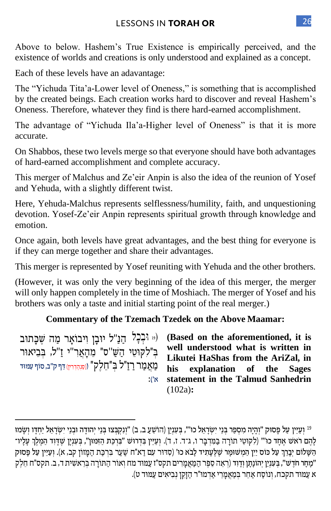Above to below. Hashem's True Existence is empirically perceived, and the existence of worlds and creations is only understood and explained as a concept.

Each of these levels have an adavantage:

The "Yichuda Tita'a-Lower level of Oneness," is something that is accomplished by the created beings. Each creation works hard to discover and reveal Hashem's Oneness. Therefore, whatever they find is there hard-earned accomplishment.

The advantage of "Yichuda Ila'a-Higher level of Oneness" is that it is more accurate.

On Shabbos, these two levels merge so that everyone should have both advantages of hard-earned accomplishment and complete accuracy.

This merger of Malchus and Ze'eir Anpin is also the idea of the reunion of Yosef and Yehuda, with a slightly different twist.

Here, Yehuda-Malchus represents selflessness/humility, faith, and unquestioning devotion. Yosef-Ze'eir Anpin represents spiritual growth through knowledge and emotion.

Once again, both levels have great advantages, and the best thing for everyone is if they can merge together and share their advantages.

This merger is represented by Yosef reuniting with Yehuda and the other brothers.

(However, it was only the very beginning of the idea of this merger, the merger will only happen completely in the time of Moshiach. The merger of Yosef and his brothers was only a taste and initial starting point of the real merger.)

### **Commentary of the Tzemach Tzedek on the Above Maamar:**

י וּבְכָל הַנּ"ל יוּבַן וִיבוֹאַר מַה שֵׁכַּתוּב) ְּב" ִּל ּק ּו ֵטי ַה ַּש''ס" ֵמ ָהֲאִּר''י ַז''ל, ְּב ֵביא ּור מַאֲמַר רַזַ"ל בְּ"חֵלֵק" ((סַנְהֶדְרִין) דַּף ק״ב, סוֹף עַמּוּד א'(:

**(Based on the aforementioned, it is well understood what is written in Likutei HaShas from the AriZal, in his explanation of the Sages statement in the Talmud Sanhedrin** (102a)**:**

<sup>&</sup>lt;sup>19</sup> וְעַיֵּין עַל פָּסוּק "וְהָיָה מִסְפַּר בְּנֵי יִשְׂרָאֵל כוּ'", בִעְנָין (הוֹשֵׁעַ ב, ב) "וְנִקְבָּצוּ בְּנֵי יְהוּדָה וּבְנֵי יִשְׂרָאֵל יַחְדָּו וְשָׂמוּ לָהֶם רֹאשׁ אֶחָד כוּ'" (לִקּוּטֵי תוֹרָה בַּמִּרְבָּר ו, ג־ד. ז, ד). וְעַיֵּין בִּדְרוּשׁ "בִּרְכַּת הַזִּמוּן", בְּעָנְיָן שֶׁדְּוִד הַמֶּלֶךְ עָלָיו־ .<br>הַשָּׁלוֹם יְבָרֶךְ עַל כּוֹס יַיִן הַמְשׁוּמָר שֶׁלֶּעָתִיד לָבֹא כוּ' (סִדּוּר עִם דַא"ח שַׁעַר בִּרְכַּת הַמָּזוֹן קב, א). וְעַיֵּין עַל פָּסוּק "מָתָר תֹדֶשׁ", בְּעִנְיַן יְהוֹנָתָן וְדָוִד (רְאֵה סֵפֶר הַמַּאֲמָרִים תקס"ז עַמּוּד מח וְאוֹר הַתּוֹרָה בְרֵאשִׁית ד, ב. תקס"ח חֵלֶק . אַ עַמּוּד תקכח, וְנוֹסַח אַחֵר בְּמַאֲמָרֵי אַדְמוּ"ר הַזָּקֵן נִבְיאִים עַמּוּד ט).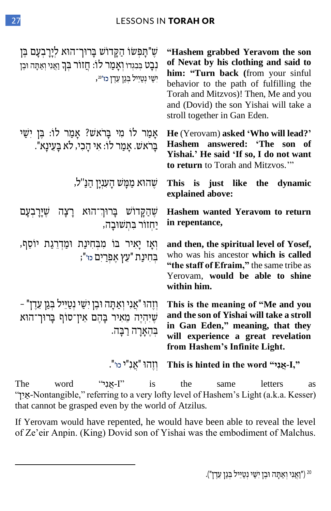**"Hashem grabbed Yeravom the son** 

ָנְבָט בְּבִגְדוֹ וְאָמַר לוֹ: חֲזוֹר בְּךָ וַאֲנִי וְאַתָּה וּבֶן יִשֵׁי נְטַיֵּיל בְּגֵן עֲדֵן כוּ׳20, **of Nevat by his clothing and said to him: "Turn back (**from your sinful behavior to the path of fulfilling the Torah and Mitzvos)! Then, Me and you and (Dovid) the son Yishai will take a stroll together in Gan Eden. אַמַר לו מִי בַּרֹאשׁ? אַמַר לוֹ: בֶּן יִשַׁי בְּרֹאשׁ. אַמַר לו: אִי הַכִּי, לֹא בַּעֵינַא". **He** (Yerovam) **asked 'Who will lead?' Hashem answered: 'The son of Yishai.' He said 'If so, I do not want to return** to Torah and Mitzvos.'" **dynamic the like just is This** ש ֶ הוּא מַ מָּ ש הָ עִּ נְיָן הַ נַּ''ל, **explained above:** שַׁהַקַּדוֹשׁ בָּרוּךְ־הוּא רָצָה שֵׁיָּרָבְעָם יַחזור בִּתְשׁוּבָה, **Hashem wanted Yeravom to return in repentance,** וְאָז יַאִיר בּוֹ מִבְחִינַת וּמַדְרֵגַת יוֹסֵף, ּ בְּחִינַת "עֵץ אֱפְרַיִם כוּ׳"; **and then, the spiritual level of Yosef,** who was his ancestor **which is called "the staff of Efraim,"** the same tribe as Yerovam, **would be able to shine within him.** ּרְוָזהוּ "אֲנִי וְאַתָּה וּבֵן יִשֵׁי נְטַיֵּיל בְּגַן עָדָן" – ַשׁיִּהִיה מֵאיר בַּהֶם אֵין־סוֹף בָּרוּך־הוּא בהארה רבה. **This is the meaning of "Me and you and the son of Yishai will take a stroll in Gan Eden," meaning, that they will experience a great revelation from Hashem's Infinite Light. ",I-אֲ נִּ י" word the in hinted is This** וְ זֶהוּ "אֲ נִּ "י כוּ' ".

The word "י ִּנ ֲא-I" is the same letters as "ןִּי ַא-Nontangible," referring to a very lofty level of Hashem's Light (a.k.a. Kesser) that cannot be grasped even by the world of Atzilus.

If Yerovam would have repented, he would have been able to reveal the level of Ze'eir Anpin. (King) Dovid son of Yishai was the embodiment of Malchus.

<sup>20</sup> ("וַאֲנִי וְאַתַּה וּבֵן יִשֵׁי נְטַיֵּיל בְּגַן עֵדֵן").

ְשֵׁ" תַּפְשׂוֹ הַקֲדוֹשׁ בַּרוּך־הוּא לִיַרַבְעָם בֵּן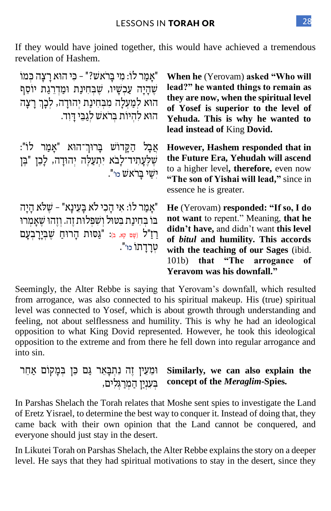If they would have joined together, this would have achieved a tremendous revelation of Hashem.

| "אַמַר לו: מִי בַּרֹאשׁ?" - כִּי הוּא רַצַה כִּמוֹ<br>שֶׁהָיָה עַכְשָיו, שֵׁבְחִינַת וּמַדְרֵגַת יוֹסֵף<br>הוא למעלה מבחינת יהודה, לכך רצה<br>הוא להיות בראש לגבי דוד. | When he (Yerovam) asked "Who will<br>lead?" he wanted things to remain as<br>they are now, when the spiritual level<br>of Yosef is superior to the level of<br>Yehuda. This is why he wanted to<br>lead instead of King Dovid.                                                  |
|------------------------------------------------------------------------------------------------------------------------------------------------------------------------|---------------------------------------------------------------------------------------------------------------------------------------------------------------------------------------------------------------------------------------------------------------------------------|
| אֲבָל הַקֲדוֹשׁ בָּרוּךְ־הוּא "אָמַר לוֹ":<br>ּשֶׁלֶעָתִיד־לָבֹא יִתְעַלֶּה יְהוּדָה, לָבֵן "בֶּן<br>יִשַׁי בַראש כוּ".                                                | However, Hashem responded that in<br>the Future Era, Yehudah will ascend<br>to a higher level, therefore, even now<br>"The son of Yishai will lead," since in<br>essence he is greater.                                                                                         |
| "אַמַר לו: אִי הַכִי לא בַּעֵינַא" - שֵׁלֹא הַיַה<br>בו בחינת בטול ושפלות זה. וזהו שאמרו<br>רַזַ"ל (שִׁם קֹּא, בּ): "גַּסוּת הָרוּחַ שֵׁבְיָרָבְעָם<br>טְרַדַתוֹ מּ״.  | He (Yerovam) responded: "If so, I do<br>not want to repent." Meaning, that he<br>didn't have, and didn't want this level<br>of bitul and humility. This accords<br>with the teaching of our Sages (ibid.<br>that "The arrogance"<br>101b)<br>- of<br>Yeravom was his downfall." |

Seemingly, the Alter Rebbe is saying that Yerovam's downfall, which resulted from arrogance, was also connected to his spiritual makeup. His (true) spiritual level was connected to Yosef, which is about growth through understanding and feeling, not about selflessness and humility. This is why he had an ideological opposition to what King Dovid represented. However, he took this ideological opposition to the extreme and from there he fell down into regular arrogance and into sin.

וּמֵעֵין זֶה נִתְבַּאֵר גַּם כֵּן בִּמַקוֹם אַחֵר בְּעָנְיַן הַמְרַגְּלִים, **Similarly, we can also explain the concept of the** *Meraglim***-Spies.**

In Parshas Shelach the Torah relates that Moshe sent spies to investigate the Land of Eretz Yisrael, to determine the best way to conquer it. Instead of doing that, they came back with their own opinion that the Land cannot be conquered, and everyone should just stay in the desert.

In Likutei Torah on Parshas Shelach, the Alter Rebbe explains the story on a deeper level. He says that they had spiritual motivations to stay in the desert, since they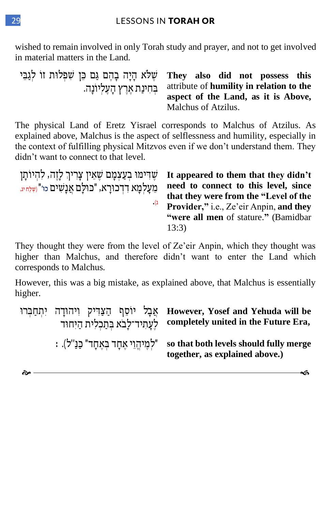wished to remain involved in only Torah study and prayer, and not to get involved in material matters in the Land.

שלא הַיַה בָהֶם גַּם כֵּן שִׁפְלוּת זו לִגַבֵּי בִּחִינַת אַרץ הַעָלִיוֹנַה.

**They also did not possess this**  attribute of **humility in relation to the aspect of the Land, as it is Above,**  Malchus of Atzilus.

The physical Land of Eretz Yisrael corresponds to Malchus of Atzilus. As explained above, Malchus is the aspect of selflessness and humility, especially in the context of fulfilling physical Mitzvos even if we don't understand them. They didn't want to connect to that level.

| ּשֶׁדִּימוּ בְעַצְמָם שֶׁאֵין צָרִיךְ לְזֶה, לִהְיוֹתָן     |
|-------------------------------------------------------------|
| ּמֵעַלְמָא דִדְכוּרָא, "כּוּלָם אֲנָשִׁים כוּ" (שְׁלַּחִיג, |
| د).                                                         |
|                                                             |

**It appeared to them that they didn't need to connect to this level, since that they were from the "Level of the Provider,"** i.e., Ze'eir Anpin, **and they "were all men** of stature.**"** (Bamidbar 13:3)

They thought they were from the level of Ze'eir Anpin, which they thought was higher than Malchus, and therefore didn't want to enter the Land which corresponds to Malchus.

However, this was a big mistake, as explained above, that Malchus is essentially higher.

ְאֲבַל יוֹסֶף הַצַּדִּיק וִיהוּדַה יִתְחַבְּרוּ לעתיד־לבֹא בּתכלית היחוד **However, Yosef and Yehuda will be completely united in the Future Era,**  $:$  (לְמִיהוִי אַחָד בֵּאחֵד" כַּנַ"ל). so that both levels should fully merge **together, as explained above.)**

� ——————————————————————————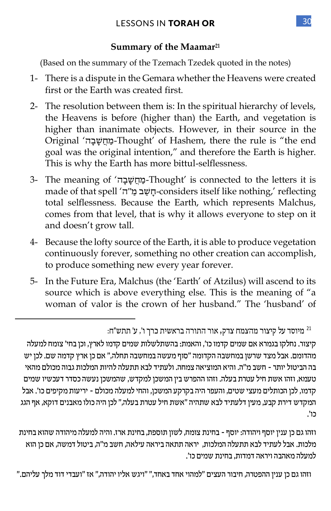### **Summary of the Maamar<sup>21</sup>**

(Based on the summary of the Tzemach Tzedek quoted in the notes)

- 1- There is a dispute in the Gemara whether the Heavens were created first or the Earth was created first.
- 2- The resolution between them is: In the spiritual hierarchy of levels, the Heavens is before (higher than) the Earth, and vegetation is higher than inanimate objects. However, in their source in the Original 'מַחֲשָׁבָה<sup>4</sup> -Thought' of Hashem, there the rule is "the end goal was the original intention," and therefore the Earth is higher. This is why the Earth has more bittul-selflessness.
- 3- The meaning of 'הַחֲשָׁבָה<sup>'</sup> Thought' is connected to the letters it is made of that spell 'ה" בְּמֵ"ה 'considers itself like nothing,' reflecting total selflessness. Because the Earth, which represents Malchus, comes from that level, that is why it allows everyone to step on it and doesn't grow tall.
- 4- Because the lofty source of the Earth, it is able to produce vegetation continuously forever, something no other creation can accomplish, to produce something new every year forever.
- 5- In the Future Era, Malchus (the 'Earth' of Atzilus) will ascend to its source which is above everything else. This is the meaning of "a woman of valor is the crown of her husband." The 'husband' of

מיוסד על קיצור מהצמח צדק, אור התורה בראשית כרך ו', ע' תתש"ח: <sup>21</sup>

קיצור. נחלקו בגמרא אם שמים קדמו כו', והאמת: בהשתלשלו ת שמים קדמו לארץ, וכן בחי' צומח למעלה מהדומם. אבל מצד שרשן במחשבה הקדומה "סוף מעשה במחשבה תחלה," אם כן ארץ קדמה שם. לכן יש בה הביטול יותר - חשב מ"ה. והיא המוציאה צמחה. ולעתיד לבא תתעלה להיות המלכות גבוה מכולם מהאי טעמא, וזהו אשת חיל עטרת בעלה. וזהו ההפרש בין המשכן למקדש, שהמשכן נעשה כסדר דעכשיו שמים קדמו, לכן הכותלים מעצי שטים, והעפר היה בקרקע המשכן, והחי למעלה מכולם - יריעות מקיפים כו'. אבל המקדש דירת קבע, מעין דלעתיד לבא שתהיה "אשת חיל עטרת בעלה," לכן היה כולו מאבנים דוקא, אף הגג כו'.

וזהו גם כן ענין יוסף ויהודה : יוסף - בחינת צומח ,ל שון תוספת, בחינת ארז . והיה למעלה מיהודה שהוא בחינת מלכות. אבל לעתיד לבא תתעלה המלכות, יראה תתאה ביראה עילאה, חשב מ"ה, ביטול דמשה, אם כן הוא למעלה מאהרה ויראה דמדות. רחיות שמיח כו'.

וזהו גם כן ענין ההפטרה, חיבור העצים "למהוי אחד באחד," "ויגש אליו יהודה," אז "ועבדי דוד מלך עליהם."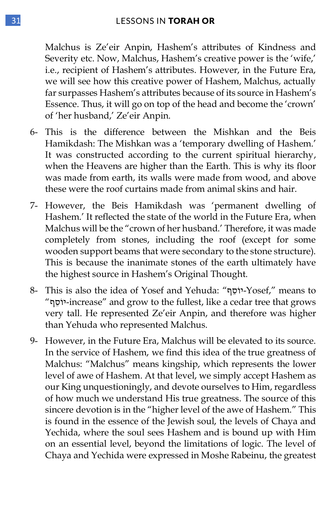Malchus is Ze'eir Anpin, Hashem's attributes of Kindness and Severity etc. Now, Malchus, Hashem's creative power is the 'wife,' i.e., recipient of Hashem's attributes. However, in the Future Era, we will see how this creative power of Hashem, Malchus, actually far surpasses Hashem's attributes because of its source in Hashem's Essence. Thus, it will go on top of the head and become the 'crown' of 'her husband,' Ze'eir Anpin.

- 6- This is the difference between the Mishkan and the Beis Hamikdash: The Mishkan was a 'temporary dwelling of Hashem.' It was constructed according to the current spiritual hierarchy, when the Heavens are higher than the Earth. This is why its floor was made from earth, its walls were made from wood, and above these were the roof curtains made from animal skins and hair.
- 7- However, the Beis Hamikdash was 'permanent dwelling of Hashem.' It reflected the state of the world in the Future Era, when Malchus will be the "crown of her husband.' Therefore, it was made completely from stones, including the roof (except for some wooden support beams that were secondary to the stone structure). This is because the inanimate stones of the earth ultimately have the highest source in Hashem's Original Thought.
- 8- This is also the idea of Yosef and Yehuda: "ף ֵס יו-Yosef," means to "ף ֵס יו-increase" and grow to the fullest, like a cedar tree that grows very tall. He represented Ze'eir Anpin, and therefore was higher than Yehuda who represented Malchus.
- 9- However, in the Future Era, Malchus will be elevated to its source. In the service of Hashem, we find this idea of the true greatness of Malchus: "Malchus" means kingship, which represents the lower level of awe of Hashem. At that level, we simply accept Hashem as our King unquestioningly, and devote ourselves to Him, regardless of how much we understand His true greatness. The source of this sincere devotion is in the "higher level of the awe of Hashem." This is found in the essence of the Jewish soul, the levels of Chaya and Yechida, where the soul sees Hashem and is bound up with Him on an essential level, beyond the limitations of logic. The level of Chaya and Yechida were expressed in Moshe Rabeinu, the greatest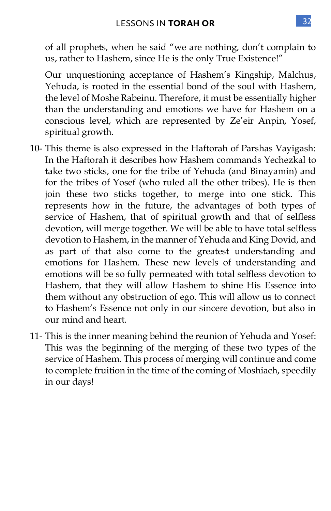of all prophets, when he said "we are nothing, don't complain to us, rather to Hashem, since He is the only True Existence!"

Our unquestioning acceptance of Hashem's Kingship, Malchus, Yehuda, is rooted in the essential bond of the soul with Hashem, the level of Moshe Rabeinu. Therefore, it must be essentially higher than the understanding and emotions we have for Hashem on a conscious level, which are represented by Ze'eir Anpin, Yosef, spiritual growth.

- 10- This theme is also expressed in the Haftorah of Parshas Vayigash: In the Haftorah it describes how Hashem commands Yechezkal to take two sticks, one for the tribe of Yehuda (and Binayamin) and for the tribes of Yosef (who ruled all the other tribes). He is then join these two sticks together, to merge into one stick. This represents how in the future, the advantages of both types of service of Hashem, that of spiritual growth and that of selfless devotion, will merge together. We will be able to have total selfless devotion to Hashem, in the manner of Yehuda and King Dovid, and as part of that also come to the greatest understanding and emotions for Hashem. These new levels of understanding and emotions will be so fully permeated with total selfless devotion to Hashem, that they will allow Hashem to shine His Essence into them without any obstruction of ego. This will allow us to connect to Hashem's Essence not only in our sincere devotion, but also in our mind and heart.
- 11- This is the inner meaning behind the reunion of Yehuda and Yosef: This was the beginning of the merging of these two types of the service of Hashem. This process of merging will continue and come to complete fruition in the time of the coming of Moshiach, speedily in our days!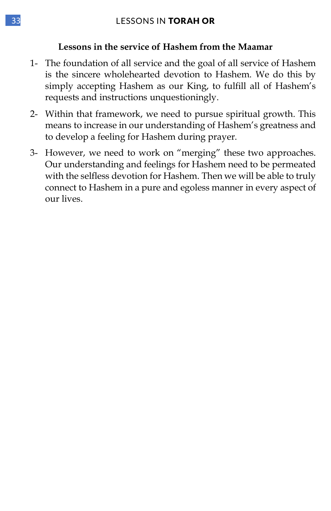#### **Lessons in the service of Hashem from the Maamar**

- 1- The foundation of all service and the goal of all service of Hashem is the sincere wholehearted devotion to Hashem. We do this by simply accepting Hashem as our King, to fulfill all of Hashem's requests and instructions unquestioningly.
- 2- Within that framework, we need to pursue spiritual growth. This means to increase in our understanding of Hashem's greatness and to develop a feeling for Hashem during prayer.
- 3- However, we need to work on "merging" these two approaches. Our understanding and feelings for Hashem need to be permeated with the selfless devotion for Hashem. Then we will be able to truly connect to Hashem in a pure and egoless manner in every aspect of our lives.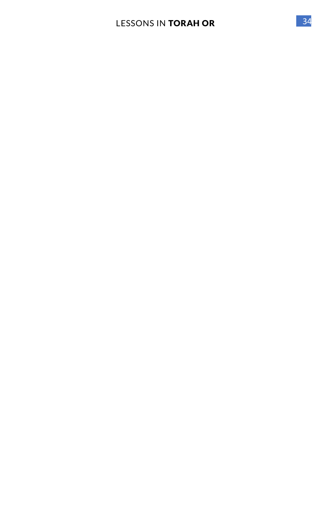## LESSONS IN **TORAH OR** 34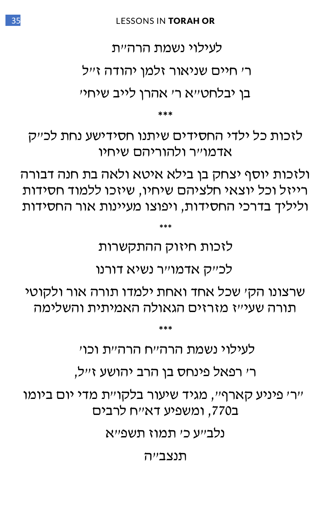## תנצב"ה

# נלבייע כי תמוז תשפייא

"ר' פיניע קארף", מגיד שיעור בלקו"ת מדי יום ביומו ב770, ומשפיע דא״ח לרבים

ר' רפאל פינחס בן הרב יהושע ז"ל,

לעילוי נשמת הרה"ח הרה"ת וכו'

**\*\*\***

שרצונו הק' שכל אחד ואחת ילמדו תורה אור ולקוטי תורה שעי"ז מזרזים הגאולה האמיתית והשלימה

לכ״ק אדמו״ר נשיא דורנו

לזכות חיזוק ההתקשרות

**\*\*\***

ולזכות יוסף יצחק בן בילא איטא ולאה בת חנה דבורה רייזל וכל יוצאי חלציהם שיחיו, שיזכו ללמוד חסידות וליליך בדרכי החסידות, ויפוצו מעיינות אור החסידות

לזכות כל ילדי החסידים שיתנו חסידישע נחת לכ"ק אדמו"ר ולהוריהם שיחיו

**\*\*\***

בן יבלחט"א ר' אהרן לייב שיחי'

ר' חיים שניאור זלמן יהודה ז"ל

LESSONS IN TORAH OR

לעילוי נשמת הרה"ת